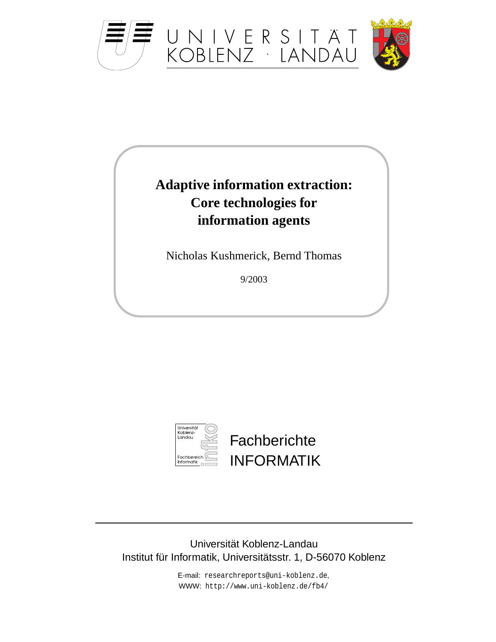

# **Adaptive information extraction: Core technologies for information agents**

Nicholas Kushmerick, Bernd Thomas

9/2003



Universität Koblenz-Landau Institut für Informatik, Universitätsstr. 1, D-56070 Koblenz

> E-mail: researchreports@uni-koblenz.de, WWW: http://www.uni-koblenz.de/fb4/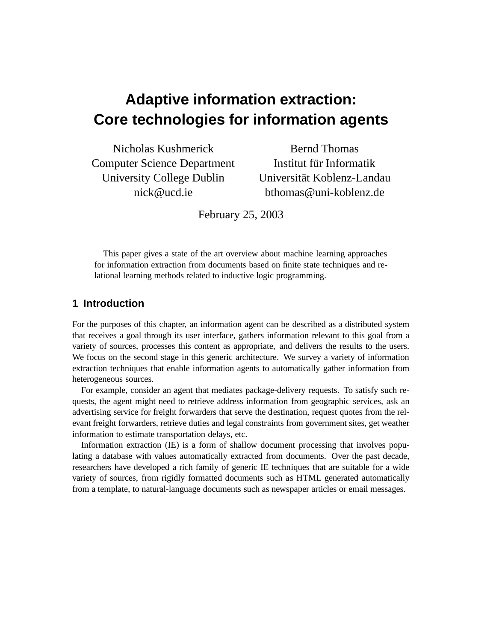# **Adaptive information extraction: Core technologies for information agents**

Nicholas Kushmerick Computer Science Department University College Dublin nick@ucd.ie

Bernd Thomas Institut für Informatik Universität Koblenz-Landau bthomas@uni-koblenz.de

February 25, 2003

This paper gives a state of the art overview about machine learning approaches for information extraction from documents based on finite state techniques and relational learning methods related to inductive logic programming.

# **1 Introduction**

For the purposes of this chapter, an information agent can be described as a distributed system that receives a goal through its user interface, gathers information relevant to this goal from a variety of sources, processes this content as appropriate, and delivers the results to the users. We focus on the second stage in this generic architecture. We survey a variety of information extraction techniques that enable information agents to automatically gather information from heterogeneous sources.

For example, consider an agent that mediates package-delivery requests. To satisfy such requests, the agent might need to retrieve address information from geographic services, ask an advertising service for freight forwarders that serve the destination, request quotes from the relevant freight forwarders, retrieve duties and legal constraints from government sites, get weather information to estimate transportation delays, etc.

Information extraction (IE) is a form of shallow document processing that involves populating a database with values automatically extracted from documents. Over the past decade, researchers have developed a rich family of generic IE techniques that are suitable for a wide variety of sources, from rigidly formatted documents such as HTML generated automatically from a template, to natural-language documents such as newspaper articles or email messages.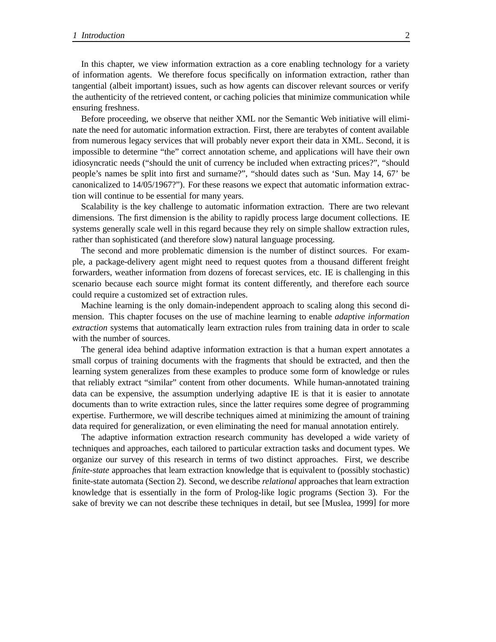In this chapter, we view information extraction as a core enabling technology for a variety of information agents. We therefore focus specifically on information extraction, rather than tangential (albeit important) issues, such as how agents can discover relevant sources or verify the authenticity of the retrieved content, or caching policies that minimize communication while ensuring freshness.

Before proceeding, we observe that neither XML nor the Semantic Web initiative will eliminate the need for automatic information extraction. First, there are terabytes of content available from numerous legacy services that will probably never export their data in XML. Second, it is impossible to determine "the" correct annotation scheme, and applications will have their own idiosyncratic needs ("should the unit of currency be included when extracting prices?", "should people's names be split into first and surname?", "should dates such as 'Sun. May 14, 67' be canonicalized to 14/05/1967?"). For these reasons we expect that automatic information extraction will continue to be essential for many years.

Scalability is the key challenge to automatic information extraction. There are two relevant dimensions. The first dimension is the ability to rapidly process large document collections. IE systems generally scale well in this regard because they rely on simple shallow extraction rules, rather than sophisticated (and therefore slow) natural language processing.

The second and more problematic dimension is the number of distinct sources. For example, a package-delivery agent might need to request quotes from a thousand different freight forwarders, weather information from dozens of forecast services, etc. IE is challenging in this scenario because each source might format its content differently, and therefore each source could require a customized set of extraction rules.

Machine learning is the only domain-independent approach to scaling along this second dimension. This chapter focuses on the use of machine learning to enable *adaptive information extraction* systems that automatically learn extraction rules from training data in order to scale with the number of sources.

The general idea behind adaptive information extraction is that a human expert annotates a small corpus of training documents with the fragments that should be extracted, and then the learning system generalizes from these examples to produce some form of knowledge or rules that reliably extract "similar" content from other documents. While human-annotated training data can be expensive, the assumption underlying adaptive IE is that it is easier to annotate documents than to write extraction rules, since the latter requires some degree of programming expertise. Furthermore, we will describe techniques aimed at minimizing the amount of training data required for generalization, or even eliminating the need for manual annotation entirely.

The adaptive information extraction research community has developed a wide variety of techniques and approaches, each tailored to particular extraction tasks and document types. We organize our survey of this research in terms of two distinct approaches. First, we describe *finite-state* approaches that learn extraction knowledge that is equivalent to (possibly stochastic) finite-state automata (Section 2). Second, we describe *relational* approaches that learn extraction knowledge that is essentially in the form of Prolog-like logic programs (Section 3). For the sake of brevity we can not describe these techniques in detail, but see [Muslea, 1999] for more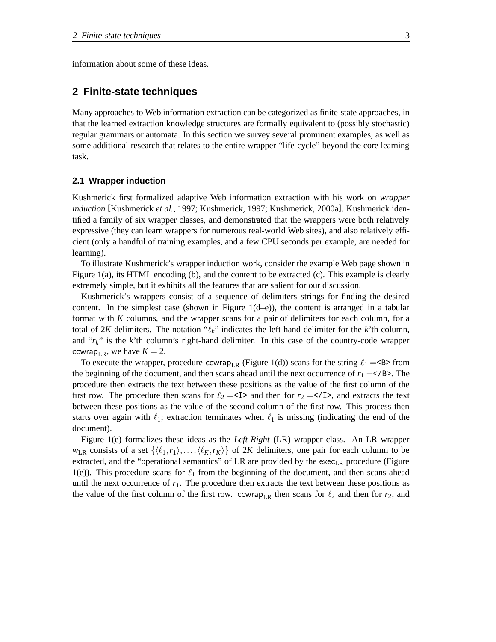information about some of these ideas.

# **2 Finite-state techniques**

Many approaches to Web information extraction can be categorized as finite-state approaches, in that the learned extraction knowledge structures are formally equivalent to (possibly stochastic) regular grammars or automata. In this section we survey several prominent examples, as well as some additional research that relates to the entire wrapper "life-cycle" beyond the core learning task.

## **2.1 Wrapper induction**

Kushmerick first formalized adaptive Web information extraction with his work on *wrapper induction* [Kushmerick *et al.*, 1997; Kushmerick, 1997; Kushmerick, 2000a]. Kushmerick identified a family of six wrapper classes, and demonstrated that the wrappers were both relatively expressive (they can learn wrappers for numerous real-world Web sites), and also relatively efficient (only a handful of training examples, and a few CPU seconds per example, are needed for learning).

To illustrate Kushmerick's wrapper induction work, consider the example Web page shown in Figure 1(a), its HTML encoding (b), and the content to be extracted (c). This example is clearly extremely simple, but it exhibits all the features that are salient for our discussion.

Kushmerick's wrappers consist of a sequence of delimiters strings for finding the desired content. In the simplest case (shown in Figure  $1(d-e)$ ), the content is arranged in a tabular format with *K* columns, and the wrapper scans for a pair of delimiters for each column, for a total of 2*K* delimiters. The notation " $\ell_k$ " indicates the left-hand delimiter for the *k*'th column, and " $r_k$ " is the  $k$ 'th column's right-hand delimiter. In this case of the country-code wrapper ccwrap<sub>LR</sub>, we have  $K = 2$ .

To execute the wrapper, procedure ccwrap<sub>LR</sub> (Figure 1(d)) scans for the string  $\ell_1 =$ <B> from the beginning of the document, and then scans ahead until the next occurrence of  $r_1 = \langle B \rangle$ . The procedure then extracts the text between these positions as the value of the first column of the first row. The procedure then scans for  $\ell_2 = \langle 1 \rangle$  and then for  $r_2 = \langle 1 \rangle$ , and extracts the text between these positions as the value of the second column of the first row. This process then starts over again with  $\ell_1$ ; extraction terminates when  $\ell_1$  is missing (indicating the end of the document).

Figure 1(e) formalizes these ideas as the *Left-Right* (LR) wrapper class. An LR wrapper *w*<sub>LR</sub> consists of a set  $\{\langle \ell_1, r_1 \rangle, \ldots, \langle \ell_K, r_K \rangle\}$  of 2*K* delimiters, one pair for each column to be extracted, and the "operational semantics" of LR are provided by the  $e \times e_{LR}$  procedure (Figure 1(e)). This procedure scans for  $\ell_1$  from the beginning of the document, and then scans ahead until the next occurrence of  $r_1$ . The procedure then extracts the text between these positions as the value of the first column of the first row. ccwrap<sub>LR</sub> then scans for  $\ell_2$  and then for  $r_2$ , and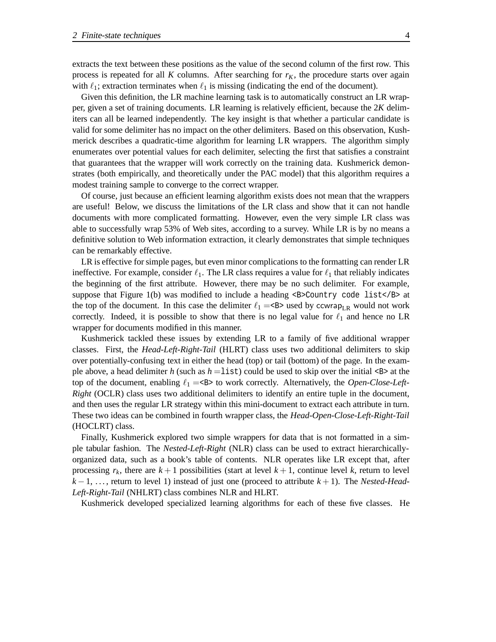extracts the text between these positions as the value of the second column of the first row. This process is repeated for all *K* columns. After searching for  $r<sub>K</sub>$ , the procedure starts over again with  $\ell_1$ ; extraction terminates when  $\ell_1$  is missing (indicating the end of the document).

Given this definition, the LR machine learning task is to automatically construct an LR wrapper, given a set of training documents. LR learning is relatively efficient, because the 2*K* delimiters can all be learned independently. The key insight is that whether a particular candidate is valid for some delimiter has no impact on the other delimiters. Based on this observation, Kushmerick describes a quadratic-time algorithm for learning LR wrappers. The algorithm simply enumerates over potential values for each delimiter, selecting the first that satisfies a constraint that guarantees that the wrapper will work correctly on the training data. Kushmerick demonstrates (both empirically, and theoretically under the PAC model) that this algorithm requires a modest training sample to converge to the correct wrapper.

Of course, just because an efficient learning algorithm exists does not mean that the wrappers are useful! Below, we discuss the limitations of the LR class and show that it can not handle documents with more complicated formatting. However, even the very simple LR class was able to successfully wrap 53% of Web sites, according to a survey. While LR is by no means a definitive solution to Web information extraction, it clearly demonstrates that simple techniques can be remarkably effective.

LR is effective for simple pages, but even minor complications to the formatting can render LR ineffective. For example, consider  $\ell_1$ . The LR class requires a value for  $\ell_1$  that reliably indicates the beginning of the first attribute. However, there may be no such delimiter. For example, suppose that Figure 1(b) was modified to include a heading  $\langle B \rangle$  Country code list $\langle B \rangle$  at the top of the document. In this case the delimiter  $\ell_1 = \le B$  used by courap<sub>LR</sub> would not work correctly. Indeed, it is possible to show that there is no legal value for  $\ell_1$  and hence no LR wrapper for documents modified in this manner.

Kushmerick tackled these issues by extending LR to a family of five additional wrapper classes. First, the *Head-Left-Right-Tail* (HLRT) class uses two additional delimiters to skip over potentially-confusing text in either the head (top) or tail (bottom) of the page. In the example above, a head delimiter h (such as  $h =$ list) could be used to skip over the initial <B> at the top of the document, enabling  $\ell_1 = \leq B$  to work correctly. Alternatively, the *Open-Close-Left-Right* (OCLR) class uses two additional delimiters to identify an entire tuple in the document, and then uses the regular LR strategy within this mini-document to extract each attribute in turn. These two ideas can be combined in fourth wrapper class, the *Head-Open-Close-Left-Right-Tail* (HOCLRT) class.

Finally, Kushmerick explored two simple wrappers for data that is not formatted in a simple tabular fashion. The *Nested-Left-Right* (NLR) class can be used to extract hierarchicallyorganized data, such as a book's table of contents. NLR operates like LR except that, after processing  $r_k$ , there are  $k+1$  possibilities (start at level  $k+1$ , continue level k, return to level  $k-1, \ldots$ , return to level 1) instead of just one (proceed to attribute  $k+1$ ). The *Nested-Head-Left-Right-Tail* (NHLRT) class combines NLR and HLRT.

Kushmerick developed specialized learning algorithms for each of these five classes. He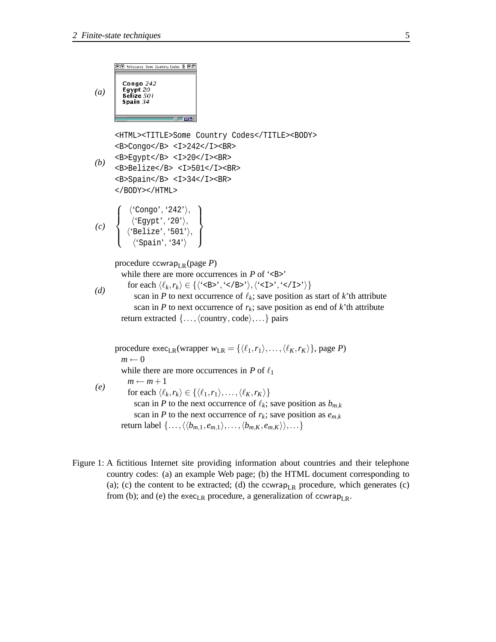| $\left( a\right)$ | <b>□□</b> Netscape: Some Country Codes ■ □□<br>Congo 242<br>Egypt 20<br>Belize 501<br>Spain 34<br>∃⊠?l                                                                                                                                                                                                                                                                                                                                                                                                                                                                    |
|-------------------|---------------------------------------------------------------------------------------------------------------------------------------------------------------------------------------------------------------------------------------------------------------------------------------------------------------------------------------------------------------------------------------------------------------------------------------------------------------------------------------------------------------------------------------------------------------------------|
| (b)               | <html><title>Some Country Codes</title><body><br/><math>&lt;</math>B&gt;Congo <i>242</i><br/><br/><b>Egypt</b> <i>20</i><br/><br/><b>Belize</b> <i>501</i><br/><br/><b>Spain</b> <i>34</i><br/><br/><math>&lt;</math>/BODY&gt; </body></html>                                                                                                                                                                                                                                                                                                                             |
|                   | (c) $\left\{\begin{array}{c} \langle \text{`Congo'}, \text{'242'} \rangle, \\ \langle \text{`Egypt'}, \text{'20'} \rangle, \\ \langle \text{`Belize'}, \text{'501'} \rangle, \\ \langle \text{`Spain'}, \text{'34'} \rangle \end{array}\right\}$                                                                                                                                                                                                                                                                                                                          |
| (d)               | procedure ccwrap <sub>LR</sub> (page P)<br>while there are more occurrences in $P$ of $\langle$ S>'<br>for each $\langle \ell_k, r_k \rangle \in \{ \langle \langle \langle \text{B} \rangle, \langle \langle \text{B} \rangle \rangle, \langle \langle \text{I} \rangle, \langle \langle \text{I} \rangle \rangle \rangle \}$<br>scan in P to next occurrence of $\ell_k$ ; save position as start of k'th attribute<br>scan in P to next occurrence of $r_k$ ; save position as end of k'th attribute<br>return extracted $\{, \langle country, code \rangle, \}$ pairs |
| (e)               | procedure exec <sub>LR</sub> (wrapper $w_{LR} = \{ \langle \ell_1, r_1 \rangle, \dots, \langle \ell_K, r_K \rangle \}$ , page P)<br>$m \leftarrow 0$<br>while there are more occurrences in P of $\ell_1$<br>$m \leftarrow m + 1$<br>for each $\langle \ell_k, r_k \rangle \in \{ \langle \ell_1, r_1 \rangle, \dots, \langle \ell_K, r_K \rangle \}$                                                                                                                                                                                                                     |

scan in *P* to the next occurrence of  $\ell_k$ ; save position as  $b_{m,k}$ scan in *P* to the next occurrence of  $r_k$ ; save position as  $e_{m,k}$ return label  $\{\ldots,\langle\langle b_{m,1},e_{m,1}\rangle,\ldots,\langle b_{m,K},e_{m,K}\rangle\rangle,\ldots\}$ 

Figure 1: A fictitious Internet site providing information about countries and their telephone country codes: (a) an example Web page; (b) the HTML document corresponding to (a); (c) the content to be extracted; (d) the ccwrap<sub>LR</sub> procedure, which generates (c) from (b); and (e) the exec<sub>LR</sub> procedure, a generalization of ccwrap<sub>LR</sub>.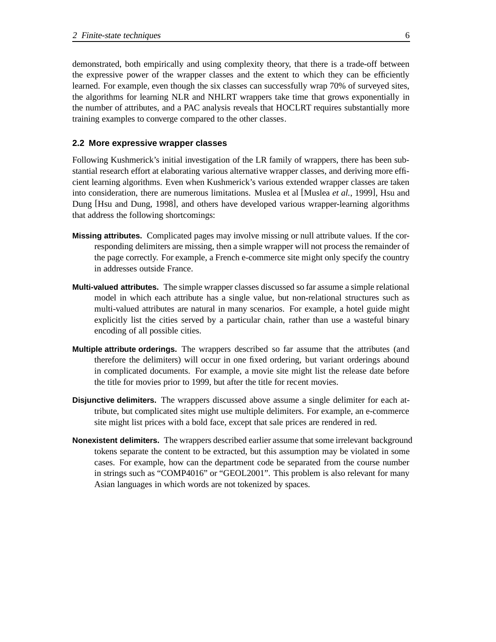demonstrated, both empirically and using complexity theory, that there is a trade-off between the expressive power of the wrapper classes and the extent to which they can be efficiently learned. For example, even though the six classes can successfully wrap 70% of surveyed sites, the algorithms for learning NLR and NHLRT wrappers take time that grows exponentially in the number of attributes, and a PAC analysis reveals that HOCLRT requires substantially more training examples to converge compared to the other classes.

# **2.2 More expressive wrapper classes**

Following Kushmerick's initial investigation of the LR family of wrappers, there has been substantial research effort at elaborating various alternative wrapper classes, and deriving more efficient learning algorithms. Even when Kushmerick's various extended wrapper classes are taken into consideration, there are numerous limitations. Muslea et al [Muslea *et al.*, 1999], Hsu and Dung [Hsu and Dung, 1998], and others have developed various wrapper-learning algorithms that address the following shortcomings:

- **Missing attributes.** Complicated pages may involve missing or null attribute values. If the corresponding delimiters are missing, then a simple wrapper will not process the remainder of the page correctly. For example, a French e-commerce site might only specify the country in addresses outside France.
- **Multi-valued attributes.** The simple wrapper classes discussed so far assume a simple relational model in which each attribute has a single value, but non-relational structures such as multi-valued attributes are natural in many scenarios. For example, a hotel guide might explicitly list the cities served by a particular chain, rather than use a wasteful binary encoding of all possible cities.
- **Multiple attribute orderings.** The wrappers described so far assume that the attributes (and therefore the delimiters) will occur in one fixed ordering, but variant orderings abound in complicated documents. For example, a movie site might list the release date before the title for movies prior to 1999, but after the title for recent movies.
- **Disjunctive delimiters.** The wrappers discussed above assume a single delimiter for each attribute, but complicated sites might use multiple delimiters. For example, an e-commerce site might list prices with a bold face, except that sale prices are rendered in red.
- **Nonexistent delimiters.** The wrappers described earlier assume that some irrelevant background tokens separate the content to be extracted, but this assumption may be violated in some cases. For example, how can the department code be separated from the course number in strings such as "COMP4016" or "GEOL2001". This problem is also relevant for many Asian languages in which words are not tokenized by spaces.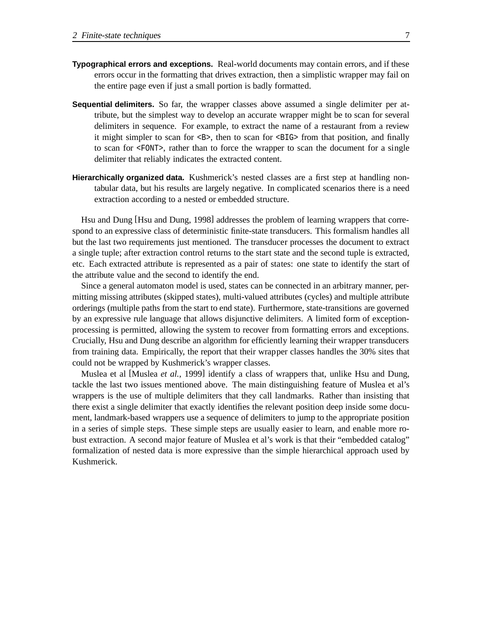- **Typographical errors and exceptions.** Real-world documents may contain errors, and if these errors occur in the formatting that drives extraction, then a simplistic wrapper may fail on the entire page even if just a small portion is badly formatted.
- **Sequential delimiters.** So far, the wrapper classes above assumed a single delimiter per attribute, but the simplest way to develop an accurate wrapper might be to scan for several delimiters in sequence. For example, to extract the name of a restaurant from a review it might simpler to scan for  $\leq B$ , then to scan for  $\leq BIG$  from that position, and finally to scan for <FONT>, rather than to force the wrapper to scan the document for a single delimiter that reliably indicates the extracted content.
- **Hierarchically organized data.** Kushmerick's nested classes are a first step at handling nontabular data, but his results are largely negative. In complicated scenarios there is a need extraction according to a nested or embedded structure.

Hsu and Dung [Hsu and Dung, 1998] addresses the problem of learning wrappers that correspond to an expressive class of deterministic finite-state transducers. This formalism handles all but the last two requirements just mentioned. The transducer processes the document to extract a single tuple; after extraction control returns to the start state and the second tuple is extracted, etc. Each extracted attribute is represented as a pair of states: one state to identify the start of the attribute value and the second to identify the end.

Since a general automaton model is used, states can be connected in an arbitrary manner, permitting missing attributes (skipped states), multi-valued attributes (cycles) and multiple attribute orderings (multiple paths from the start to end state). Furthermore, state-transitions are governed by an expressive rule language that allows disjunctive delimiters. A limited form of exceptionprocessing is permitted, allowing the system to recover from formatting errors and exceptions. Crucially, Hsu and Dung describe an algorithm for efficiently learning their wrapper transducers from training data. Empirically, the report that their wrapper classes handles the 30% sites that could not be wrapped by Kushmerick's wrapper classes.

Muslea et al [Muslea *et al.*, 1999] identify a class of wrappers that, unlike Hsu and Dung, tackle the last two issues mentioned above. The main distinguishing feature of Muslea et al's wrappers is the use of multiple delimiters that they call landmarks. Rather than insisting that there exist a single delimiter that exactly identifies the relevant position deep inside some document, landmark-based wrappers use a sequence of delimiters to jump to the appropriate position in a series of simple steps. These simple steps are usually easier to learn, and enable more robust extraction. A second major feature of Muslea et al's work is that their "embedded catalog" formalization of nested data is more expressive than the simple hierarchical approach used by Kushmerick.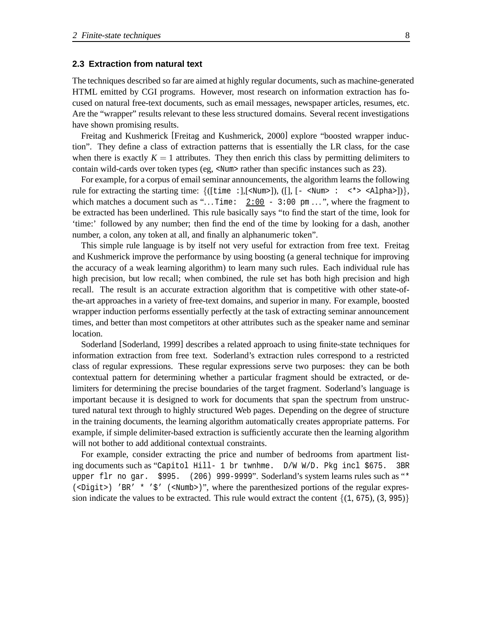#### **2.3 Extraction from natural text**

The techniques described so far are aimed at highly regular documents, such as machine-generated HTML emitted by CGI programs. However, most research on information extraction has focused on natural free-text documents, such as email messages, newspaper articles, resumes, etc. Are the "wrapper" results relevant to these less structured domains. Several recent investigations have shown promising results.

Freitag and Kushmerick [Freitag and Kushmerick, 2000] explore "boosted wrapper induction". They define a class of extraction patterns that is essentially the LR class, for the case when there is exactly  $K = 1$  attributes. They then enrich this class by permitting delimiters to contain wild-cards over token types (eg, <Num> rather than specific instances such as 23).

For example, for a corpus of email seminar announcements, the algorithm learns the following rule for extracting the starting time:  $\{([\text{time} :], [\text{&\text{Num}}], ([], [-\text{&\text{Num}} : \text{&\text{&\text{Alpha}}}], \},$ which matches a document such as "...Time:  $2:00 - 3:00 \text{ pm}...$ ", where the fragment to be extracted has been underlined. This rule basically says "to find the start of the time, look for 'time:' followed by any number; then find the end of the time by looking for a dash, another number, a colon, any token at all, and finally an alphanumeric token".

This simple rule language is by itself not very useful for extraction from free text. Freitag and Kushmerick improve the performance by using boosting (a general technique for improving the accuracy of a weak learning algorithm) to learn many such rules. Each individual rule has high precision, but low recall; when combined, the rule set has both high precision and high recall. The result is an accurate extraction algorithm that is competitive with other state-ofthe-art approaches in a variety of free-text domains, and superior in many. For example, boosted wrapper induction performs essentially perfectly at the task of extracting seminar announcement times, and better than most competitors at other attributes such as the speaker name and seminar location.

Soderland [Soderland, 1999] describes a related approach to using finite-state techniques for information extraction from free text. Soderland's extraction rules correspond to a restricted class of regular expressions. These regular expressions serve two purposes: they can be both contextual pattern for determining whether a particular fragment should be extracted, or delimiters for determining the precise boundaries of the target fragment. Soderland's language is important because it is designed to work for documents that span the spectrum from unstructured natural text through to highly structured Web pages. Depending on the degree of structure in the training documents, the learning algorithm automatically creates appropriate patterns. For example, if simple delimiter-based extraction is sufficiently accurate then the learning algorithm will not bother to add additional contextual constraints.

For example, consider extracting the price and number of bedrooms from apartment listing documents such as "Capitol Hill- 1 br twnhme. D/W W/D. Pkg incl \$675. 3BR upper flr no gar. \$995. (206) 999-9999". Soderland's system learns rules such as "\* (<Digit>) 'BR' \* '\$' (<Numb>)", where the parenthesized portions of the regular expression indicate the values to be extracted. This rule would extract the content  $\{(1, 675), (3, 995)\}\$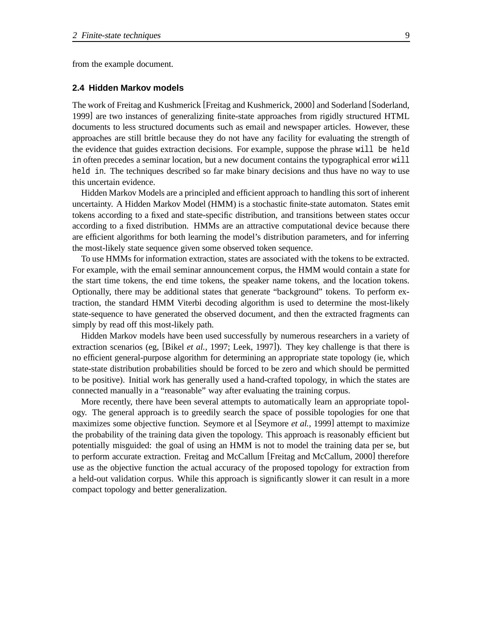from the example document.

#### **2.4 Hidden Markov models**

The work of Freitag and Kushmerick [Freitag and Kushmerick, 2000] and Soderland [Soderland, 1999] are two instances of generalizing finite-state approaches from rigidly structured HTML documents to less structured documents such as email and newspaper articles. However, these approaches are still brittle because they do not have any facility for evaluating the strength of the evidence that guides extraction decisions. For example, suppose the phrase will be held in often precedes a seminar location, but a new document contains the typographical error will held in. The techniques described so far make binary decisions and thus have no way to use this uncertain evidence.

Hidden Markov Models are a principled and efficient approach to handling this sort of inherent uncertainty. A Hidden Markov Model (HMM) is a stochastic finite-state automaton. States emit tokens according to a fixed and state-specific distribution, and transitions between states occur according to a fixed distribution. HMMs are an attractive computational device because there are efficient algorithms for both learning the model's distribution parameters, and for inferring the most-likely state sequence given some observed token sequence.

To use HMMs for information extraction, states are associated with the tokens to be extracted. For example, with the email seminar announcement corpus, the HMM would contain a state for the start time tokens, the end time tokens, the speaker name tokens, and the location tokens. Optionally, there may be additional states that generate "background" tokens. To perform extraction, the standard HMM Viterbi decoding algorithm is used to determine the most-likely state-sequence to have generated the observed document, and then the extracted fragments can simply by read off this most-likely path.

Hidden Markov models have been used successfully by numerous researchers in a variety of extraction scenarios (eg, [Bikel *et al.*, 1997; Leek, 1997]). They key challenge is that there is no efficient general-purpose algorithm for determining an appropriate state topology (ie, which state-state distribution probabilities should be forced to be zero and which should be permitted to be positive). Initial work has generally used a hand-crafted topology, in which the states are connected manually in a "reasonable" way after evaluating the training corpus.

More recently, there have been several attempts to automatically learn an appropriate topology. The general approach is to greedily search the space of possible topologies for one that maximizes some objective function. Seymore et al [Seymore *et al.*, 1999] attempt to maximize the probability of the training data given the topology. This approach is reasonably efficient but potentially misguided: the goal of using an HMM is not to model the training data per se, but to perform accurate extraction. Freitag and McCallum [Freitag and McCallum, 2000] therefore use as the objective function the actual accuracy of the proposed topology for extraction from a held-out validation corpus. While this approach is significantly slower it can result in a more compact topology and better generalization.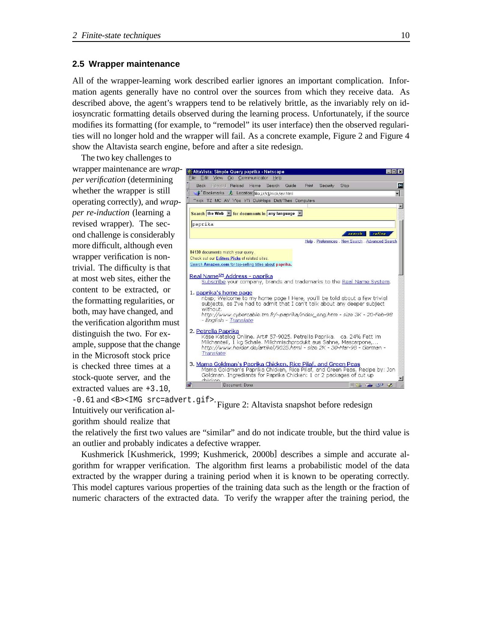#### **2.5 Wrapper maintenance**

All of the wrapper-learning work described earlier ignores an important complication. Information agents generally have no control over the sources from which they receive data. As described above, the agent's wrappers tend to be relatively brittle, as the invariably rely on idiosyncratic formatting details observed during the learning process. Unfortunately, if the source modifies its formatting (for example, to "remodel" its user interface) then the observed regularities will no longer hold and the wrapper will fail. As a concrete example, Figure 2 and Figure 4 show the Altavista search engine, before and after a site redesign.

The two key challenges to wrapper maintenance are *wrapper verification* (determining whether the wrapper is still operating correctly), and *wrapper re-induction* (learning a revised wrapper). The second challenge is considerably more difficult, although even wrapper verification is nontrivial. The difficulty is that at most web sites, either the content to be extracted, or the formatting regularities, or both, may have changed, and the verification algorithm must distinguish the two. For example, suppose that the change in the Microsoft stock price is checked three times at a stock-quote server, and the extracted values are +3.10,



-0.61 and <B><IMG src=advert.gif>. Figure 2: Altavista snapshot before redesign Intuitively our verification algorithm should realize that

the relatively the first two values are "similar" and do not indicate trouble, but the third value is an outlier and probably indicates a defective wrapper.

Kushmerick [Kushmerick, 1999; Kushmerick, 2000b] describes a simple and accurate algorithm for wrapper verification. The algorithm first learns a probabilistic model of the data extracted by the wrapper during a training period when it is known to be operating correctly. This model captures various properties of the training data such as the length or the fraction of numeric characters of the extracted data. To verify the wrapper after the training period, the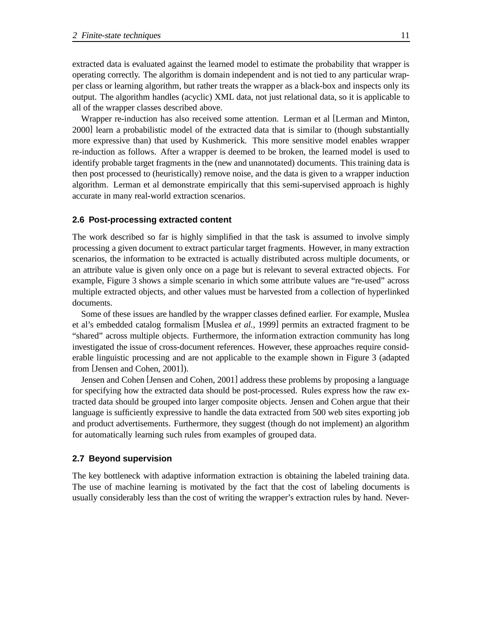extracted data is evaluated against the learned model to estimate the probability that wrapper is operating correctly. The algorithm is domain independent and is not tied to any particular wrapper class or learning algorithm, but rather treats the wrapper as a black-box and inspects only its output. The algorithm handles (acyclic) XML data, not just relational data, so it is applicable to all of the wrapper classes described above.

Wrapper re-induction has also received some attention. Lerman et al [Lerman and Minton, 2000] learn a probabilistic model of the extracted data that is similar to (though substantially more expressive than) that used by Kushmerick. This more sensitive model enables wrapper re-induction as follows. After a wrapper is deemed to be broken, the learned model is used to identify probable target fragments in the (new and unannotated) documents. This training data is then post processed to (heuristically) remove noise, and the data is given to a wrapper induction algorithm. Lerman et al demonstrate empirically that this semi-supervised approach is highly accurate in many real-world extraction scenarios.

#### **2.6 Post-processing extracted content**

The work described so far is highly simplified in that the task is assumed to involve simply processing a given document to extract particular target fragments. However, in many extraction scenarios, the information to be extracted is actually distributed across multiple documents, or an attribute value is given only once on a page but is relevant to several extracted objects. For example, Figure 3 shows a simple scenario in which some attribute values are "re-used" across multiple extracted objects, and other values must be harvested from a collection of hyperlinked documents.

Some of these issues are handled by the wrapper classes defined earlier. For example, Muslea et al's embedded catalog formalism [Muslea *et al.*, 1999] permits an extracted fragment to be "shared" across multiple objects. Furthermore, the information extraction community has long investigated the issue of cross-document references. However, these approaches require considerable linguistic processing and are not applicable to the example shown in Figure 3 (adapted from [Jensen and Cohen, 2001]).

Jensen and Cohen [Jensen and Cohen, 2001] address these problems by proposing a language for specifying how the extracted data should be post-processed. Rules express how the raw extracted data should be grouped into larger composite objects. Jensen and Cohen argue that their language is sufficiently expressive to handle the data extracted from 500 web sites exporting job and product advertisements. Furthermore, they suggest (though do not implement) an algorithm for automatically learning such rules from examples of grouped data.

#### **2.7 Beyond supervision**

The key bottleneck with adaptive information extraction is obtaining the labeled training data. The use of machine learning is motivated by the fact that the cost of labeling documents is usually considerably less than the cost of writing the wrapper's extraction rules by hand. Never-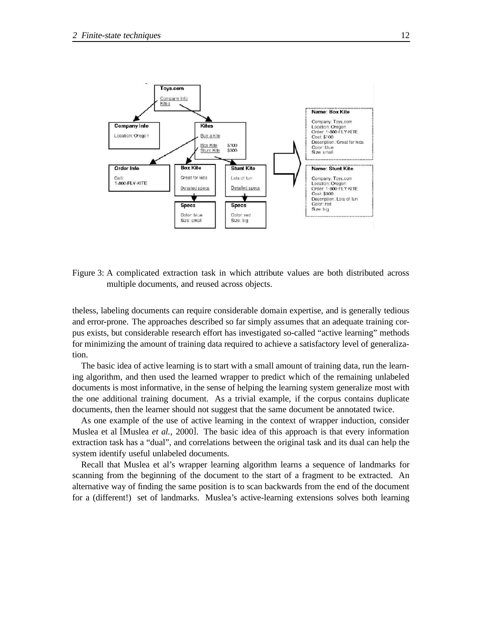

Figure 3: A complicated extraction task in which attribute values are both distributed across multiple documents, and reused across objects.

theless, labeling documents can require considerable domain expertise, and is generally tedious and error-prone. The approaches described so far simply assumes that an adequate training corpus exists, but considerable research effort has investigated so-called "active learning" methods for minimizing the amount of training data required to achieve a satisfactory level of generalization.

The basic idea of active learning is to start with a small amount of training data, run the learning algorithm, and then used the learned wrapper to predict which of the remaining unlabeled documents is most informative, in the sense of helping the learning system generalize most with the one additional training document. As a trivial example, if the corpus contains duplicate documents, then the learner should not suggest that the same document be annotated twice.

As one example of the use of active learning in the context of wrapper induction, consider Muslea et al [Muslea *et al.*, 2000]. The basic idea of this approach is that every information extraction task has a "dual", and correlations between the original task and its dual can help the system identify useful unlabeled documents.

Recall that Muslea et al's wrapper learning algorithm learns a sequence of landmarks for scanning from the beginning of the document to the start of a fragment to be extracted. An alternative way of finding the same position is to scan backwards from the end of the document for a (different!) set of landmarks. Muslea's active-learning extensions solves both learning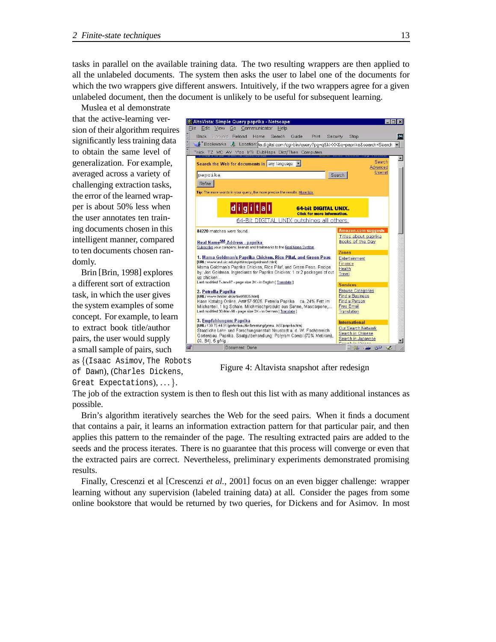tasks in parallel on the available training data. The two resulting wrappers are then applied to all the unlabeled documents. The system then asks the user to label one of the documents for which the two wrappers give different answers. Intuitively, if the two wrappers agree for a given unlabeled document, then the document is unlikely to be useful for subsequent learning.

Muslea et al demonstrate that the active-learning version of their algorithm requires significantly less training data to obtain the same level of generalization. For example, averaged across a variety of challenging extraction tasks, the error of the learned wrapper is about 50% less when the user annotates ten training documents chosen in this intelligent manner, compared to ten documents chosen randomly.

Brin [Brin, 1998] explores a different sort of extraction task, in which the user gives the system examples of some concept. For example, to learn to extract book title/author pairs, the user would supply a small sample of pairs, such

as {(Isaac Asimov, The Robots of Dawn), (Charles Dickens, Great Expectations),  $\ldots$ .



Figure 4: Altavista snapshot after redesign

The job of the extraction system is then to flesh out this list with as many additional instances as possible.

Brin's algorithm iteratively searches the Web for the seed pairs. When it finds a document that contains a pair, it learns an information extraction pattern for that particular pair, and then applies this pattern to the remainder of the page. The resulting extracted pairs are added to the seeds and the process iterates. There is no guarantee that this process will converge or even that the extracted pairs are correct. Nevertheless, preliminary experiments demonstrated promising results.

Finally, Crescenzi et al [Crescenzi *et al.*, 2001] focus on an even bigger challenge: wrapper learning without any supervision (labeled training data) at all. Consider the pages from some online bookstore that would be returned by two queries, for Dickens and for Asimov. In most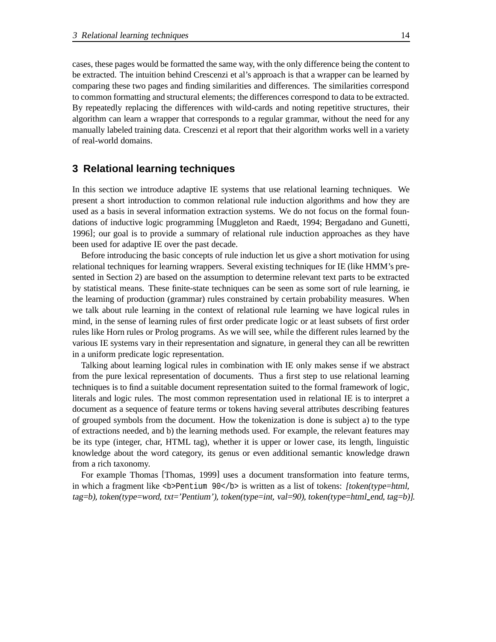cases, these pages would be formatted the same way, with the only difference being the content to be extracted. The intuition behind Crescenzi et al's approach is that a wrapper can be learned by comparing these two pages and finding similarities and differences. The similarities correspond to common formatting and structural elements; the differences correspond to data to be extracted. By repeatedly replacing the differences with wild-cards and noting repetitive structures, their algorithm can learn a wrapper that corresponds to a regular grammar, without the need for any manually labeled training data. Crescenzi et al report that their algorithm works well in a variety of real-world domains.

# **3 Relational learning techniques**

In this section we introduce adaptive IE systems that use relational learning techniques. We present a short introduction to common relational rule induction algorithms and how they are used as a basis in several information extraction systems. We do not focus on the formal foundations of inductive logic programming [Muggleton and Raedt, 1994; Bergadano and Gunetti, 1996]; our goal is to provide a summary of relational rule induction approaches as they have been used for adaptive IE over the past decade.

Before introducing the basic concepts of rule induction let us give a short motivation for using relational techniques for learning wrappers. Several existing techniques for IE (like HMM's presented in Section 2) are based on the assumption to determine relevant text parts to be extracted by statistical means. These finite-state techniques can be seen as some sort of rule learning, ie the learning of production (grammar) rules constrained by certain probability measures. When we talk about rule learning in the context of relational rule learning we have logical rules in mind, in the sense of learning rules of first order predicate logic or at least subsets of first order rules like Horn rules or Prolog programs. As we will see, while the different rules learned by the various IE systems vary in their representation and signature, in general they can all be rewritten in a uniform predicate logic representation.

Talking about learning logical rules in combination with IE only makes sense if we abstract from the pure lexical representation of documents. Thus a first step to use relational learning techniques is to find a suitable document representation suited to the formal framework of logic, literals and logic rules. The most common representation used in relational IE is to interpret a document as a sequence of feature terms or tokens having several attributes describing features of grouped symbols from the document. How the tokenization is done is subject a) to the type of extractions needed, and b) the learning methods used. For example, the relevant features may be its type (integer, char, HTML tag), whether it is upper or lower case, its length, linguistic knowledge about the word category, its genus or even additional semantic knowledge drawn from a rich taxonomy.

For example Thomas [Thomas, 1999] uses a document transformation into feature terms, in which a fragment like  $\text{&b>Pentium} 90 \text{&b>}$  is written as a list of tokens: [token(type=html, tag=b), token(type=word, txt='Pentium'), token(type=int, val=90), token(type=html end, tag=b)].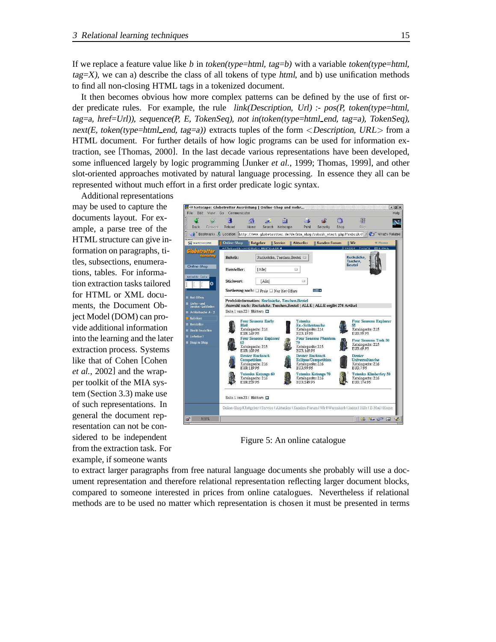If we replace a feature value like b in token(type=html, tag=b) with a variable token(type=html,  $tag=X$ , we can a) describe the class of all tokens of type html, and b) use unification methods to find all non-closing HTML tags in a tokenized document.

It then becomes obvious how more complex patterns can be defined by the use of first order predicate rules. For example, the rule link(Description, Url) :- pos(P, token(type=html, tag=a, href=Url)), sequence $(P, E, T\alpha)$ , not in(token(type=html\_end, tag=a), TokenSeq), next(E, token(type=html\_end, tag=a)) extracts tuples of the form  $\langle$ Description, URL $>$  from a HTML document. For further details of how logic programs can be used for information extraction, see [Thomas, 2000]. In the last decade various representations have been developed, some influenced largely by logic programming [Junker *et al.*, 1999; Thomas, 1999], and other slot-oriented approaches motivated by natural language processing. In essence they all can be represented without much effort in a first order predicate logic syntax.

Additional representations may be used to capture the documents layout. For example, a parse tree of the HTML structure can give information on paragraphs, titles, subsections, enumerations, tables. For information extraction tasks tailored for HTML or XML documents, the Document Object Model (DOM) can provide additional information into the learning and the later extraction process. Systems like that of Cohen [Cohen *et al.*, 2002] and the wrapper toolkit of the MIA system (Section 3.3) make use of such representations. In general the document representation can not be considered to be independent from the extraction task. For example, if someone wants



Figure 5: An online catalogue

to extract larger paragraphs from free natural language documents she probably will use a document representation and therefore relational representation reflecting larger document blocks, compared to someone interested in prices from online catalogues. Nevertheless if relational methods are to be used no matter which representation is chosen it must be presented in terms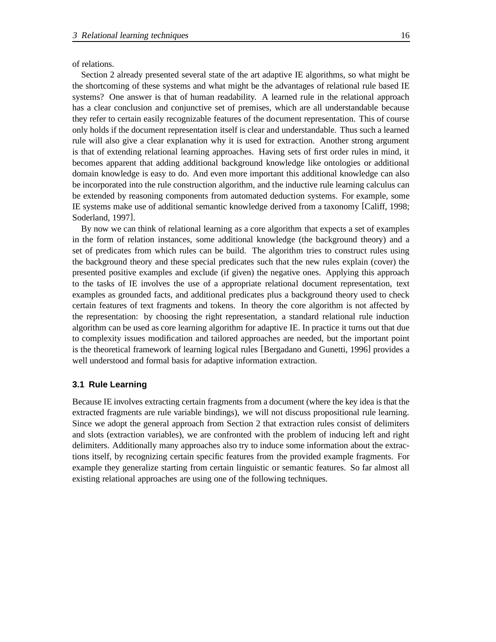of relations.

Section 2 already presented several state of the art adaptive IE algorithms, so what might be the shortcoming of these systems and what might be the advantages of relational rule based IE systems? One answer is that of human readability. A learned rule in the relational approach has a clear conclusion and conjunctive set of premises, which are all understandable because they refer to certain easily recognizable features of the document representation. This of course only holds if the document representation itself is clear and understandable. Thus such a learned rule will also give a clear explanation why it is used for extraction. Another strong argument is that of extending relational learning approaches. Having sets of first order rules in mind, it becomes apparent that adding additional background knowledge like ontologies or additional domain knowledge is easy to do. And even more important this additional knowledge can also be incorporated into the rule construction algorithm, and the inductive rule learning calculus can be extended by reasoning components from automated deduction systems. For example, some IE systems make use of additional semantic knowledge derived from a taxonomy [Califf, 1998; Soderland, 1997].

By now we can think of relational learning as a core algorithm that expects a set of examples in the form of relation instances, some additional knowledge (the background theory) and a set of predicates from which rules can be build. The algorithm tries to construct rules using the background theory and these special predicates such that the new rules explain (cover) the presented positive examples and exclude (if given) the negative ones. Applying this approach to the tasks of IE involves the use of a appropriate relational document representation, text examples as grounded facts, and additional predicates plus a background theory used to check certain features of text fragments and tokens. In theory the core algorithm is not affected by the representation: by choosing the right representation, a standard relational rule induction algorithm can be used as core learning algorithm for adaptive IE. In practice it turns out that due to complexity issues modification and tailored approaches are needed, but the important point is the theoretical framework of learning logical rules [Bergadano and Gunetti, 1996] provides a well understood and formal basis for adaptive information extraction.

# **3.1 Rule Learning**

Because IE involves extracting certain fragments from a document (where the key idea is that the extracted fragments are rule variable bindings), we will not discuss propositional rule learning. Since we adopt the general approach from Section 2 that extraction rules consist of delimiters and slots (extraction variables), we are confronted with the problem of inducing left and right delimiters. Additionally many approaches also try to induce some information about the extractions itself, by recognizing certain specific features from the provided example fragments. For example they generalize starting from certain linguistic or semantic features. So far almost all existing relational approaches are using one of the following techniques.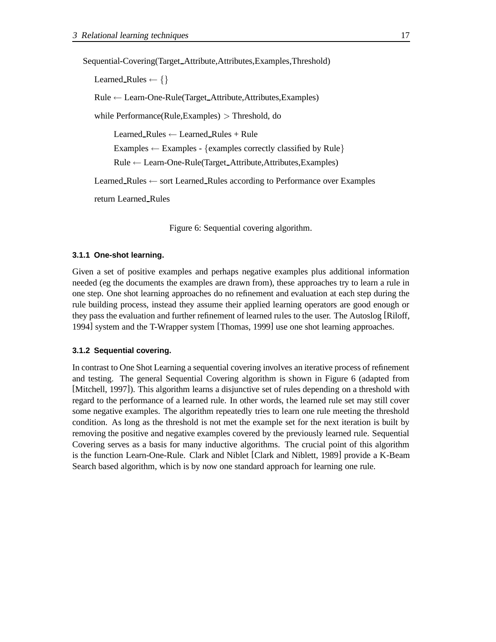Sequential-Covering(Target Attribute,Attributes,Examples,Threshold)

Learned Rules  $\leftarrow \{\}$ 

Rule ← Learn-One-Rule(Target Attribute,Attributes,Examples)

while Performance(Rule,Examples) > Threshold, do

Learned Rules ← Learned Rules + Rule

Examples  $\leftarrow$  Examples - {examples correctly classified by Rule}

Rule ← Learn-One-Rule(Target Attribute,Attributes,Examples)

Learned Rules  $\leftarrow$  sort Learned Rules according to Performance over Examples

return Learned Rules

Figure 6: Sequential covering algorithm.

# **3.1.1 One-shot learning.**

Given a set of positive examples and perhaps negative examples plus additional information needed (eg the documents the examples are drawn from), these approaches try to learn a rule in one step. One shot learning approaches do no refinement and evaluation at each step during the rule building process, instead they assume their applied learning operators are good enough or they pass the evaluation and further refinement of learned rules to the user. The Autoslog [Riloff, 1994] system and the T-Wrapper system [Thomas, 1999] use one shot learning approaches.

# **3.1.2 Sequential covering.**

In contrast to One Shot Learning a sequential covering involves an iterative process of refinement and testing. The general Sequential Covering algorithm is shown in Figure 6 (adapted from [Mitchell, 1997]). This algorithm learns a disjunctive set of rules depending on a threshold with regard to the performance of a learned rule. In other words, the learned rule set may still cover some negative examples. The algorithm repeatedly tries to learn one rule meeting the threshold condition. As long as the threshold is not met the example set for the next iteration is built by removing the positive and negative examples covered by the previously learned rule. Sequential Covering serves as a basis for many inductive algorithms. The crucial point of this algorithm is the function Learn-One-Rule. Clark and Niblet [Clark and Niblett, 1989] provide a K-Beam Search based algorithm, which is by now one standard approach for learning one rule.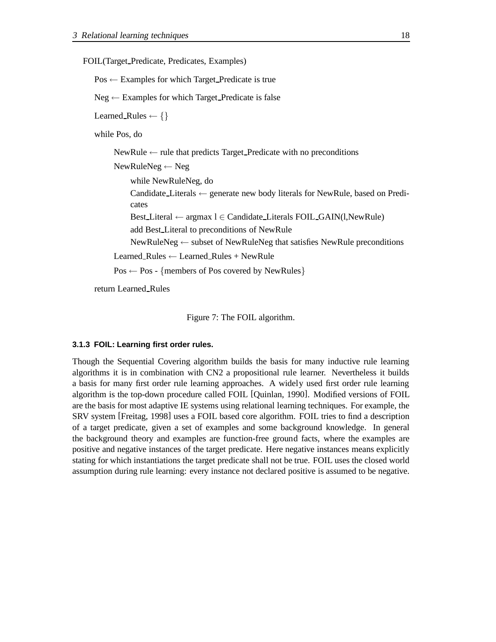FOIL(Target Predicate, Predicates, Examples)

Pos ← Examples for which Target Predicate is true

 $Neg \leftarrow$  Examples for which Target Predicate is false

Learned Rules  $\leftarrow \{\}$ 

while Pos, do

NewRule  $\leftarrow$  rule that predicts Target\_Predicate with no preconditions

 $NewRuleNeg \leftarrow Neg$ 

while NewRuleNeg, do

Candidate Literals  $\leftarrow$  generate new body literals for NewRule, based on Predicates

Best Literal ← argmax  $l \in$  Candidate Literals FOIL GAIN(l, New Rule)

add Best Literal to preconditions of NewRule

NewRuleNeg  $\leftarrow$  subset of NewRuleNeg that satisfies NewRule preconditions

Learned Rules  $\leftarrow$  Learned Rules + NewRule

 $Pos \leftarrow Pos - \{members \space of \space Pos \space covered \space by \space NewRules \}$ 

return Learned\_Rules

Figure 7: The FOIL algorithm.

#### **3.1.3 FOIL: Learning first order rules.**

Though the Sequential Covering algorithm builds the basis for many inductive rule learning algorithms it is in combination with CN2 a propositional rule learner. Nevertheless it builds a basis for many first order rule learning approaches. A widely used first order rule learning algorithm is the top-down procedure called FOIL [Quinlan, 1990]. Modified versions of FOIL are the basis for most adaptive IE systems using relational learning techniques. For example, the SRV system [Freitag, 1998] uses a FOIL based core algorithm. FOIL tries to find a description of a target predicate, given a set of examples and some background knowledge. In general the background theory and examples are function-free ground facts, where the examples are positive and negative instances of the target predicate. Here negative instances means explicitly stating for which instantiations the target predicate shall not be true. FOIL uses the closed world assumption during rule learning: every instance not declared positive is assumed to be negative.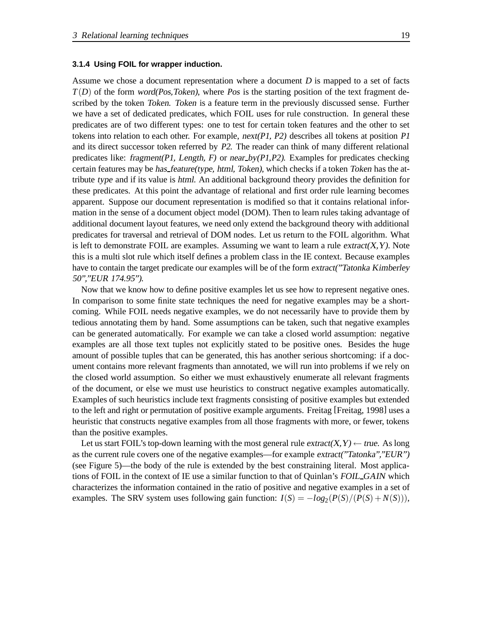Assume we chose a document representation where a document *D* is mapped to a set of facts  $T(D)$  of the form word(Pos,Token), where Pos is the starting position of the text fragment described by the token Token. Token is a feature term in the previously discussed sense. Further we have a set of dedicated predicates, which FOIL uses for rule construction. In general these predicates are of two different types: one to test for certain token features and the other to set tokens into relation to each other. For example,  $next(P1, P2)$  describes all tokens at position P1 and its direct successor token referred by P2. The reader can think of many different relational predicates like: fragment(P1, Length, F) or near  $by(P1,P2)$ . Examples for predicates checking certain features may be has\_feature(type, html, Token), which checks if a token Token has the attribute type and if its value is html. An additional background theory provides the definition for these predicates. At this point the advantage of relational and first order rule learning becomes apparent. Suppose our document representation is modified so that it contains relational information in the sense of a document object model (DOM). Then to learn rules taking advantage of additional document layout features, we need only extend the background theory with additional predicates for traversal and retrieval of DOM nodes. Let us return to the FOIL algorithm. What is left to demonstrate FOIL are examples. Assuming we want to learn a rule extract $(X, Y)$ . Note this is a multi slot rule which itself defines a problem class in the IE context. Because examples have to contain the target predicate our examples will be of the form extract("Tatonka Kimberley 50","EUR 174.95").

Now that we know how to define positive examples let us see how to represent negative ones. In comparison to some finite state techniques the need for negative examples may be a shortcoming. While FOIL needs negative examples, we do not necessarily have to provide them by tedious annotating them by hand. Some assumptions can be taken, such that negative examples can be generated automatically. For example we can take a closed world assumption: negative examples are all those text tuples not explicitly stated to be positive ones. Besides the huge amount of possible tuples that can be generated, this has another serious shortcoming: if a document contains more relevant fragments than annotated, we will run into problems if we rely on the closed world assumption. So either we must exhaustively enumerate all relevant fragments of the document, or else we must use heuristics to construct negative examples automatically. Examples of such heuristics include text fragments consisting of positive examples but extended to the left and right or permutation of positive example arguments. Freitag [Freitag, 1998] uses a heuristic that constructs negative examples from all those fragments with more, or fewer, tokens than the positive examples.

Let us start FOIL's top-down learning with the most general rule extract(X, Y)  $\leftarrow$  true. As long as the current rule covers one of the negative examples—for example extract("Tatonka","EUR") (see Figure 5)—the body of the rule is extended by the best constraining literal. Most applications of FOIL in the context of IE use a similar function to that of Quinlan's FOIL GAIN which characterizes the information contained in the ratio of positive and negative examples in a set of examples. The SRV system uses following gain function:  $I(S) = -log_2(P(S)/(P(S) + N(S)))$ ,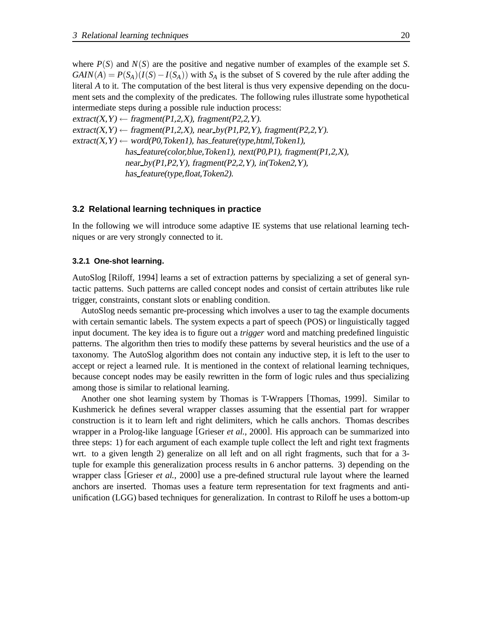where  $P(S)$  and  $N(S)$  are the positive and negative number of examples of the example set *S*.  $GAIN(A) = P(S_A)(I(S) - I(S_A))$  with  $S_A$  is the subset of S covered by the rule after adding the literal *A* to it. The computation of the best literal is thus very expensive depending on the document sets and the complexity of the predicates. The following rules illustrate some hypothetical intermediate steps during a possible rule induction process:

 $extract(X, Y) \leftarrow fragment(P1, 2, X)$ , fragment(P2,2, Y).  $\text{extract}(X, Y) \leftarrow \text{fragment}(P1, 2, X), \text{ near-by}(P1, P2, Y), \text{ fragment}(P2, 2, Y).$  $extract(X, Y) \leftarrow word(P0, \text{Token1}), has\_feature(type, \text{html}, \text{Token1}),$ has feature(color,blue,Token1), next(P0,P1), fragment(P1,2,X), near by(P1,P2, Y), fragment(P2,2, Y), in(Token2, Y), has feature(type,float,Token2).

#### **3.2 Relational learning techniques in practice**

In the following we will introduce some adaptive IE systems that use relational learning techniques or are very strongly connected to it.

#### **3.2.1 One-shot learning.**

AutoSlog [Riloff, 1994] learns a set of extraction patterns by specializing a set of general syntactic patterns. Such patterns are called concept nodes and consist of certain attributes like rule trigger, constraints, constant slots or enabling condition.

AutoSlog needs semantic pre-processing which involves a user to tag the example documents with certain semantic labels. The system expects a part of speech (POS) or linguistically tagged input document. The key idea is to figure out a *trigger* word and matching predefined linguistic patterns. The algorithm then tries to modify these patterns by several heuristics and the use of a taxonomy. The AutoSlog algorithm does not contain any inductive step, it is left to the user to accept or reject a learned rule. It is mentioned in the context of relational learning techniques, because concept nodes may be easily rewritten in the form of logic rules and thus specializing among those is similar to relational learning.

Another one shot learning system by Thomas is T-Wrappers [Thomas, 1999]. Similar to Kushmerick he defines several wrapper classes assuming that the essential part for wrapper construction is it to learn left and right delimiters, which he calls anchors. Thomas describes wrapper in a Prolog-like language [Grieser *et al.*, 2000]. His approach can be summarized into three steps: 1) for each argument of each example tuple collect the left and right text fragments wrt. to a given length 2) generalize on all left and on all right fragments, such that for a 3 tuple for example this generalization process results in 6 anchor patterns. 3) depending on the wrapper class [Grieser *et al.*, 2000] use a pre-defined structural rule layout where the learned anchors are inserted. Thomas uses a feature term representation for text fragments and antiunification (LGG) based techniques for generalization. In contrast to Riloff he uses a bottom-up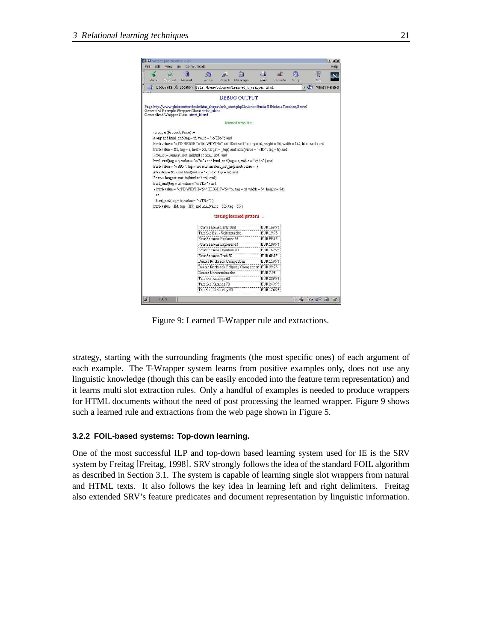| File                                          |                                                                       | W Netscape: results <2> |                                          |                                                            |        |                                                                                                                                                                         |                                                       |          |      |                             | $=$ $\Box$ $\times$ |  |
|-----------------------------------------------|-----------------------------------------------------------------------|-------------------------|------------------------------------------|------------------------------------------------------------|--------|-------------------------------------------------------------------------------------------------------------------------------------------------------------------------|-------------------------------------------------------|----------|------|-----------------------------|---------------------|--|
|                                               | Edit                                                                  | View                    | Go                                       | Communicator                                               |        |                                                                                                                                                                         |                                                       |          |      |                             | Help                |  |
|                                               |                                                                       |                         | Z                                        | 帶                                                          | D.     | ली                                                                                                                                                                      | $-8$                                                  | нÊ       | ô    | 濃                           | $\mathbf N$         |  |
|                                               | Back                                                                  | Forward                 | Reload                                   | Home                                                       | Search | Netscape                                                                                                                                                                | Print                                                 | Security | Shop | Stop                        |                     |  |
|                                               |                                                                       |                         |                                          |                                                            |        | Bookmarks & Location: file: /home/bthomas/learned t wrapper.html                                                                                                        |                                                       |          |      | <b>A Guy</b> What's Related |                     |  |
|                                               |                                                                       |                         |                                          |                                                            |        | <b>DEBUG OUTPUT</b>                                                                                                                                                     |                                                       |          |      |                             |                     |  |
|                                               |                                                                       |                         | Generalized Wrapper Class: strict island | Generated Example Wrapper Class: strict_island             |        | Page:http://www.globetrotter.de/de/htm_shop/rubrik_start.php3?rubrik=Rucks%E4cke,+Taschen,Beutel                                                                        |                                                       |          |      |                             |                     |  |
|                                               |                                                                       |                         |                                          |                                                            |        | learned template:                                                                                                                                                       |                                                       |          |      |                             |                     |  |
|                                               |                                                                       |                         | wrapper(Product, Price) :=               |                                                            |        |                                                                                                                                                                         |                                                       |          |      |                             |                     |  |
|                                               |                                                                       |                         |                                          | # any and html end(tag = td, value = " $\langle$ TD>") and |        |                                                                                                                                                                         |                                                       |          |      |                             |                     |  |
|                                               |                                                                       |                         |                                          |                                                            |        | html(value = " <td "="" height="54" id="text1" width="144">, tag = td, height = 54, width = 144, id = text1) and</td> <td></td> <td></td> <td></td> <td></td> <td></td> | , tag = td, height = 54, width = 144, id = text1) and |          |      |                             |                     |  |
|                                               |                                                                       |                         |                                          |                                                            |        | html(value = X1, tag = a, href = X2, target = _top) and html(value = " <b>", tag = b) and</b>                                                                           |                                                       |          |      |                             |                     |  |
|                                               |                                                                       |                         |                                          | Product = longest not in(html or html end) and             |        |                                                                                                                                                                         |                                                       |          |      |                             |                     |  |
|                                               |                                                                       |                         |                                          |                                                            |        | html end(tag = b, value = " $\langle$ B>") and html end(tag = a, value = " $\langle$ A>") and                                                                           |                                                       |          |      |                             |                     |  |
|                                               |                                                                       |                         |                                          |                                                            |        | html(value = "<br>", tag = br) and shortest not in(punct(value = :)                                                                                                     |                                                       |          |      |                             |                     |  |
|                                               |                                                                       |                         |                                          | $int(value = X3)$ and $html(value = " and$                 |        |                                                                                                                                                                         |                                                       |          |      |                             |                     |  |
|                                               |                                                                       |                         |                                          | Price = longest not in(html or html end)                   |        |                                                                                                                                                                         |                                                       |          |      |                             |                     |  |
|                                               |                                                                       |                         |                                          | html end(tag = td, value = "                               |        |                                                                                                                                                                         |                                                       |          |      |                             |                     |  |
|                                               |                                                                       |                         |                                          |                                                            |        | (html(value = " <td "="" height="54" width="54">, tag = td, width = 54, height = 54)</td> <td></td> <td></td> <td></td> <td></td> <td></td>                             | , tag = td, width = 54, height = 54)                  |          |      |                             |                     |  |
|                                               | or                                                                    |                         |                                          |                                                            |        |                                                                                                                                                                         |                                                       |          |      |                             |                     |  |
|                                               |                                                                       |                         |                                          |                                                            |        |                                                                                                                                                                         |                                                       |          |      |                             |                     |  |
| html end(tag = tr, value = " $\langle$ TR>")) |                                                                       |                         |                                          |                                                            |        |                                                                                                                                                                         |                                                       |          |      |                             |                     |  |
|                                               | html(value = $X4$ , tag = $X5$ ) and html(value = $X6$ , tag = $X7$ ) |                         |                                          |                                                            |        |                                                                                                                                                                         |                                                       |          |      |                             |                     |  |
|                                               |                                                                       |                         |                                          |                                                            |        |                                                                                                                                                                         |                                                       |          |      |                             |                     |  |
|                                               |                                                                       |                         |                                          |                                                            |        | testing learned pattern                                                                                                                                                 |                                                       |          |      |                             |                     |  |
|                                               |                                                                       |                         |                                          |                                                            |        |                                                                                                                                                                         | EUR 169.95                                            |          |      |                             |                     |  |
|                                               |                                                                       |                         |                                          | Four Seasons Early Bird<br>Tatonka Ex. - Seitentasche.     |        |                                                                                                                                                                         | EUR 19.95                                             |          |      |                             |                     |  |
|                                               |                                                                       |                         |                                          |                                                            |        |                                                                                                                                                                         | EUR 99.95                                             |          |      |                             |                     |  |
|                                               |                                                                       |                         |                                          | Four Seasons Explorer 55                                   |        |                                                                                                                                                                         |                                                       |          |      |                             |                     |  |
|                                               |                                                                       |                         |                                          | Four Seasons Explorer 65<br>Four Seasons Phantom 70        |        |                                                                                                                                                                         | EUR 109.95<br>EUR 169.95                              |          |      |                             |                     |  |
|                                               |                                                                       |                         |                                          | Four Seasons Trek 50                                       |        |                                                                                                                                                                         | EUR 69.95                                             |          |      |                             |                     |  |
|                                               |                                                                       |                         |                                          |                                                            |        |                                                                                                                                                                         | EUR 119.95                                            |          |      |                             |                     |  |
|                                               |                                                                       |                         |                                          | Deuter Rucksack Competition                                |        |                                                                                                                                                                         |                                                       |          |      |                             |                     |  |
|                                               |                                                                       |                         |                                          |                                                            |        | Deuter Rucksack Eclipse / Competition EUR 99.95                                                                                                                         |                                                       |          |      |                             |                     |  |
|                                               |                                                                       |                         |                                          | Deuter Universaltasche                                     |        |                                                                                                                                                                         | EUR 7.95                                              |          |      |                             |                     |  |
|                                               |                                                                       |                         |                                          | Tatonka Katanga 60                                         |        |                                                                                                                                                                         | EUR 239.95                                            |          |      |                             |                     |  |
|                                               |                                                                       |                         |                                          | Tatonka Katanga 70<br>Tatonka Kimberley 50                 |        |                                                                                                                                                                         | EUR 249.95<br>EUR 174.95                              |          |      |                             |                     |  |

Figure 9: Learned T-Wrapper rule and extractions.

strategy, starting with the surrounding fragments (the most specific ones) of each argument of each example. The T-Wrapper system learns from positive examples only, does not use any linguistic knowledge (though this can be easily encoded into the feature term representation) and it learns multi slot extraction rules. Only a handful of examples is needed to produce wrappers for HTML documents without the need of post processing the learned wrapper. Figure 9 shows such a learned rule and extractions from the web page shown in Figure 5.

# **3.2.2 FOIL-based systems: Top-down learning.**

One of the most successful ILP and top-down based learning system used for IE is the SRV system by Freitag [Freitag, 1998]. SRV strongly follows the idea of the standard FOIL algorithm as described in Section 3.1. The system is capable of learning single slot wrappers from natural and HTML texts. It also follows the key idea in learning left and right delimiters. Freitag also extended SRV's feature predicates and document representation by linguistic information.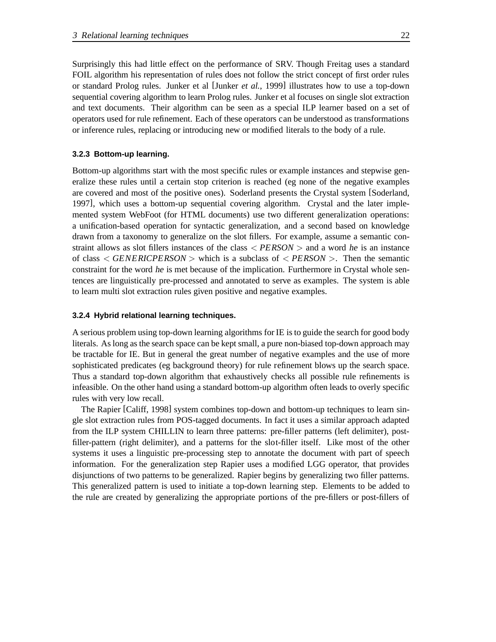Surprisingly this had little effect on the performance of SRV. Though Freitag uses a standard FOIL algorithm his representation of rules does not follow the strict concept of first order rules or standard Prolog rules. Junker et al [Junker *et al.*, 1999] illustrates how to use a top-down sequential covering algorithm to learn Prolog rules. Junker et al focuses on single slot extraction and text documents. Their algorithm can be seen as a special ILP learner based on a set of operators used for rule refinement. Each of these operators can be understood as transformations or inference rules, replacing or introducing new or modified literals to the body of a rule.

#### **3.2.3 Bottom-up learning.**

Bottom-up algorithms start with the most specific rules or example instances and stepwise generalize these rules until a certain stop criterion is reached (eg none of the negative examples are covered and most of the positive ones). Soderland presents the Crystal system [Soderland, 1997], which uses a bottom-up sequential covering algorithm. Crystal and the later implemented system WebFoot (for HTML documents) use two different generalization operations: a unification-based operation for syntactic generalization, and a second based on knowledge drawn from a taxonomy to generalize on the slot fillers. For example, assume a semantic constraint allows as slot fillers instances of the class  $\langle$  *PERSON*  $>$  and a word he is an instance of class < *GENERICPERSON* > which is a subclass of < *PERSON* >. Then the semantic constraint for the word he is met because of the implication. Furthermore in Crystal whole sentences are linguistically pre-processed and annotated to serve as examples. The system is able to learn multi slot extraction rules given positive and negative examples.

## **3.2.4 Hybrid relational learning techniques.**

A serious problem using top-down learning algorithms for IE is to guide the search for good body literals. As long as the search space can be kept small, a pure non-biased top-down approach may be tractable for IE. But in general the great number of negative examples and the use of more sophisticated predicates (eg background theory) for rule refinement blows up the search space. Thus a standard top-down algorithm that exhaustively checks all possible rule refinements is infeasible. On the other hand using a standard bottom-up algorithm often leads to overly specific rules with very low recall.

The Rapier [Califf, 1998] system combines top-down and bottom-up techniques to learn single slot extraction rules from POS-tagged documents. In fact it uses a similar approach adapted from the ILP system CHILLIN to learn three patterns: pre-filler patterns (left delimiter), postfiller-pattern (right delimiter), and a patterns for the slot-filler itself. Like most of the other systems it uses a linguistic pre-processing step to annotate the document with part of speech information. For the generalization step Rapier uses a modified LGG operator, that provides disjunctions of two patterns to be generalized. Rapier begins by generalizing two filler patterns. This generalized pattern is used to initiate a top-down learning step. Elements to be added to the rule are created by generalizing the appropriate portions of the pre-fillers or post-fillers of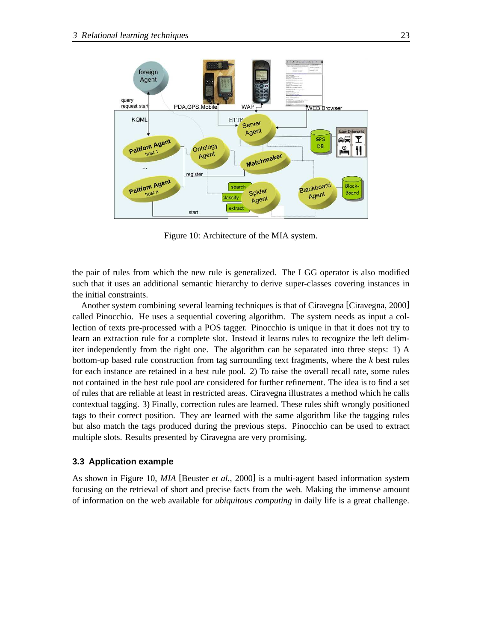

Figure 10: Architecture of the MIA system.

the pair of rules from which the new rule is generalized. The LGG operator is also modified such that it uses an additional semantic hierarchy to derive super-classes covering instances in the initial constraints.

Another system combining several learning techniques is that of Ciravegna [Ciravegna, 2000] called Pinocchio. He uses a sequential covering algorithm. The system needs as input a collection of texts pre-processed with a POS tagger. Pinocchio is unique in that it does not try to learn an extraction rule for a complete slot. Instead it learns rules to recognize the left delimiter independently from the right one. The algorithm can be separated into three steps: 1) A bottom-up based rule construction from tag surrounding text fragments, where the *k* best rules for each instance are retained in a best rule pool. 2) To raise the overall recall rate, some rules not contained in the best rule pool are considered for further refinement. The idea is to find a set of rules that are reliable at least in restricted areas. Ciravegna illustrates a method which he calls contextual tagging. 3) Finally, correction rules are learned. These rules shift wrongly positioned tags to their correct position. They are learned with the same algorithm like the tagging rules but also match the tags produced during the previous steps. Pinocchio can be used to extract multiple slots. Results presented by Ciravegna are very promising.

# **3.3 Application example**

As shown in Figure 10, *MIA* [Beuster *et al.*, 2000] is a multi-agent based information system focusing on the retrieval of short and precise facts from the web. Making the immense amount of information on the web available for *ubiquitous computing* in daily life is a great challenge.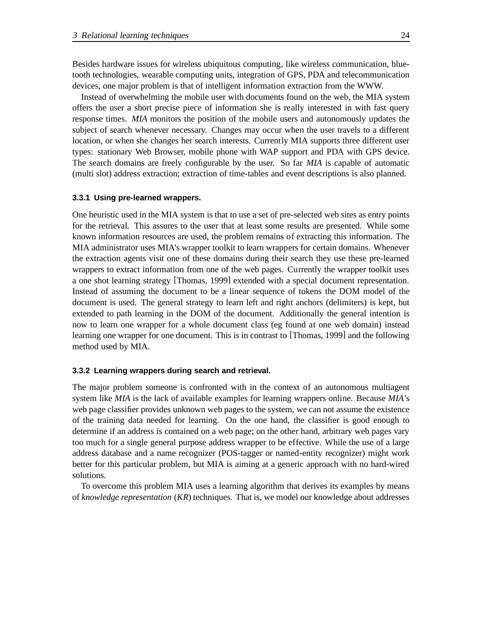Besides hardware issues for wireless ubiquitous computing, like wireless communication, bluetooth technologies, wearable computing units, integration of GPS, PDA and telecommunication devices, one major problem is that of intelligent information extraction from the WWW.

Instead of overwhelming the mobile user with documents found on the web, the MIA system offers the user a short precise piece of information she is really interested in with fast query response times. *MIA* monitors the position of the mobile users and autonomously updates the subject of search whenever necessary. Changes may occur when the user travels to a different location, or when she changes her search interests. Currently MIA supports three different user types: stationary Web Browser, mobile phone with WAP support and PDA with GPS device. The search domains are freely configurable by the user. So far *MIA* is capable of automatic (multi slot) address extraction; extraction of time-tables and event descriptions is also planned.

#### **3.3.1 Using pre-learned wrappers.**

One heuristic used in the MIA system is that to use a set of pre-selected web sites as entry points for the retrieval. This assures to the user that at least some results are presented. While some known information resources are used, the problem remains of extracting this information. The MIA administrator uses MIA's wrapper toolkit to learn wrappers for certain domains. Whenever the extraction agents visit one of these domains during their search they use these pre-learned wrappers to extract information from one of the web pages. Currently the wrapper toolkit uses a one shot learning strategy [Thomas, 1999] extended with a special document representation. Instead of assuming the document to be a linear sequence of tokens the DOM model of the document is used. The general strategy to learn left and right anchors (delimiters) is kept, but extended to path learning in the DOM of the document. Additionally the general intention is now to learn one wrapper for a whole document class (eg found at one web domain) instead learning one wrapper for one document. This is in contrast to [Thomas, 1999] and the following method used by MIA.

## **3.3.2 Learning wrappers during search and retrieval.**

The major problem someone is confronted with in the context of an autonomous multiagent system like *MIA* is the lack of available examples for learning wrappers online. Because *MIA*'s web page classifier provides unknown web pages to the system, we can not assume the existence of the training data needed for learning. On the one hand, the classifier is good enough to determine if an address is contained on a web page; on the other hand, arbitrary web pages vary too much for a single general purpose address wrapper to be effective. While the use of a large address database and a name recognizer (POS-tagger or named-entity recognizer) might work better for this particular problem, but MIA is aiming at a generic approach with no hard-wired solutions.

To overcome this problem MIA uses a learning algorithm that derives its examples by means of *knowledge representation* (*KR*) techniques. That is, we model our knowledge about addresses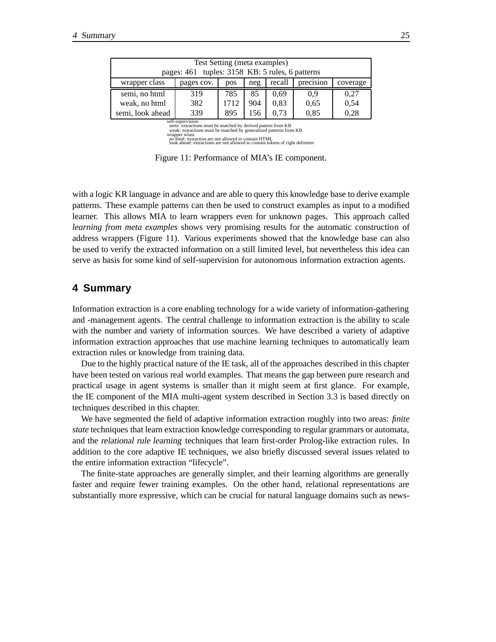| Test Setting (meta examples)<br>pages: 461 tuples: 3158 KB: 5 rules, 6 patterns |            |      |     |        |           |          |  |  |  |  |
|---------------------------------------------------------------------------------|------------|------|-----|--------|-----------|----------|--|--|--|--|
| wrapper class                                                                   | pages cov. | pos  | neg | recall | precision | coverage |  |  |  |  |
| semi, no html                                                                   | 319        | 785  | 85  | 0.69   | 0,9       | 0,27     |  |  |  |  |
| weak, no html                                                                   | 382        | 1712 | 904 | 0,83   | 0.65      | 0.54     |  |  |  |  |
| semi, look ahead                                                                | 339        | 895  | 156 | 0.73   | 0,85      | 0,28     |  |  |  |  |

self-supervision: semi: extractions must be matched by derived pattern from KB weak: extractions must be matched by generalized patterns from KB

wrapper wlass no html: extraction are not allowed to contain HTML look ahead: extractions are not allowed to contain tokens of right delimiter

Figure 11: Performance of MIA's IE component.

with a logic KR language in advance and are able to query this knowledge base to derive example patterns. These example patterns can then be used to construct examples as input to a modified learner. This allows MIA to learn wrappers even for unknown pages. This approach called *learning from meta examples* shows very promising results for the automatic construction of address wrappers (Figure 11). Various experiments showed that the knowledge base can also be used to verify the extracted information on a still limited level, but nevertheless this idea can serve as basis for some kind of self-supervision for autonomous information extraction agents.

# **4 Summary**

Information extraction is a core enabling technology for a wide variety of information-gathering and -management agents. The central challenge to information extraction is the ability to scale with the number and variety of information sources. We have described a variety of adaptive information extraction approaches that use machine learning techniques to automatically learn extraction rules or knowledge from training data.

Due to the highly practical nature of the IE task, all of the approaches described in this chapter have been tested on various real world examples. That means the gap between pure research and practical usage in agent systems is smaller than it might seem at first glance. For example, the IE component of the MIA multi-agent system described in Section 3.3 is based directly on techniques described in this chapter.

We have segmented the field of adaptive information extraction roughly into two areas: *finite state* techniques that learn extraction knowledge corresponding to regular grammars or automata, and the relational rule learning techniques that learn first-order Prolog-like extraction rules. In addition to the core adaptive IE techniques, we also briefly discussed several issues related to the entire information extraction "lifecycle".

The finite-state approaches are generally simpler, and their learning algorithms are generally faster and require fewer training examples. On the other hand, relational representations are substantially more expressive, which can be crucial for natural language domains such as news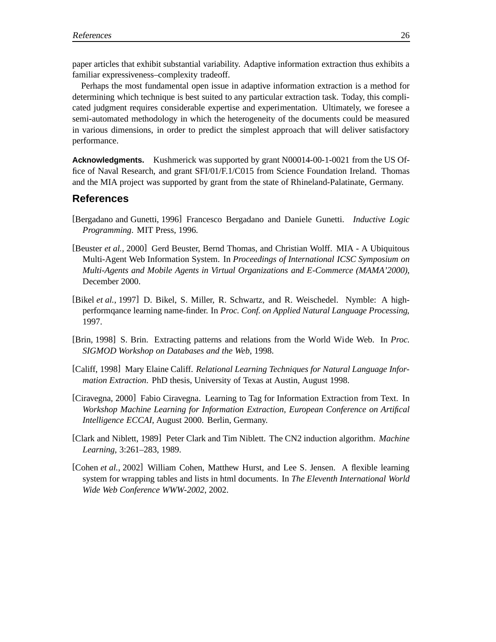paper articles that exhibit substantial variability. Adaptive information extraction thus exhibits a familiar expressiveness–complexity tradeoff.

Perhaps the most fundamental open issue in adaptive information extraction is a method for determining which technique is best suited to any particular extraction task. Today, this complicated judgment requires considerable expertise and experimentation. Ultimately, we foresee a semi-automated methodology in which the heterogeneity of the documents could be measured in various dimensions, in order to predict the simplest approach that will deliver satisfactory performance.

**Acknowledgments.** Kushmerick was supported by grant N00014-00-1-0021 from the US Office of Naval Research, and grant SFI/01/F.1/C015 from Science Foundation Ireland. Thomas and the MIA project was supported by grant from the state of Rhineland-Palatinate, Germany.

# **References**

- [Bergadano and Gunetti, 1996] Francesco Bergadano and Daniele Gunetti. *Inductive Logic Programming*. MIT Press, 1996.
- [Beuster *et al.*, 2000] Gerd Beuster, Bernd Thomas, and Christian Wolff. MIA A Ubiquitous Multi-Agent Web Information System. In *Proceedings of International ICSC Symposium on Multi-Agents and Mobile Agents in Virtual Organizations and E-Commerce (MAMA'2000)*, December 2000.
- [Bikel *et al.*, 1997] D. Bikel, S. Miller, R. Schwartz, and R. Weischedel. Nymble: A highperformqance learning name-finder. In *Proc. Conf. on Applied Natural Language Processing*, 1997.
- [Brin, 1998] S. Brin. Extracting patterns and relations from the World Wide Web. In *Proc. SIGMOD Workshop on Databases and the Web*, 1998.
- [Califf, 1998] Mary Elaine Califf. *Relational Learning Techniques for Natural Language Information Extraction*. PhD thesis, University of Texas at Austin, August 1998.
- [Ciravegna, 2000] Fabio Ciravegna. Learning to Tag for Information Extraction from Text. In *Workshop Machine Learning for Information Extraction, European Conference on Artifical Intelligence ECCAI*, August 2000. Berlin, Germany.
- [Clark and Niblett, 1989] Peter Clark and Tim Niblett. The CN2 induction algorithm. *Machine Learning*, 3:261–283, 1989.
- [Cohen *et al.*, 2002] William Cohen, Matthew Hurst, and Lee S. Jensen. A flexible learning system for wrapping tables and lists in html documents. In *The Eleventh International World Wide Web Conference WWW-2002*, 2002.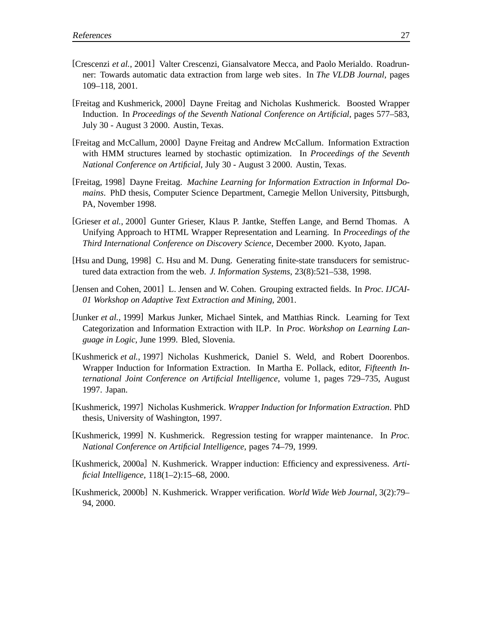- [Crescenzi *et al.*, 2001] Valter Crescenzi, Giansalvatore Mecca, and Paolo Merialdo. Roadrunner: Towards automatic data extraction from large web sites. In *The VLDB Journal*, pages 109–118, 2001.
- [Freitag and Kushmerick, 2000] Dayne Freitag and Nicholas Kushmerick. Boosted Wrapper Induction. In *Proceedings of the Seventh National Conference on Artificial*, pages 577–583, July 30 - August 3 2000. Austin, Texas.
- [Freitag and McCallum, 2000] Dayne Freitag and Andrew McCallum. Information Extraction with HMM structures learned by stochastic optimization. In *Proceedings of the Seventh National Conference on Artificial*, July 30 - August 3 2000. Austin, Texas.
- [Freitag, 1998] Dayne Freitag. *Machine Learning for Information Extraction in Informal Domains*. PhD thesis, Computer Science Department, Carnegie Mellon University, Pittsburgh, PA, November 1998.
- [Grieser *et al.*, 2000] Gunter Grieser, Klaus P. Jantke, Steffen Lange, and Bernd Thomas. A Unifying Approach to HTML Wrapper Representation and Learning. In *Proceedings of the Third International Conference on Discovery Science*, December 2000. Kyoto, Japan.
- [Hsu and Dung, 1998] C. Hsu and M. Dung. Generating finite-state transducers for semistructured data extraction from the web. *J. Information Systems*, 23(8):521–538, 1998.
- [Jensen and Cohen, 2001] L. Jensen and W. Cohen. Grouping extracted fields. In *Proc. IJCAI-01 Workshop on Adaptive Text Extraction and Mining*, 2001.
- [Junker *et al.*, 1999] Markus Junker, Michael Sintek, and Matthias Rinck. Learning for Text Categorization and Information Extraction with ILP. In *Proc. Workshop on Learning Language in Logic*, June 1999. Bled, Slovenia.
- [Kushmerick *et al.*, 1997] Nicholas Kushmerick, Daniel S. Weld, and Robert Doorenbos. Wrapper Induction for Information Extraction. In Martha E. Pollack, editor, *Fifteenth International Joint Conference on Artificial Intelligence*, volume 1, pages 729–735, August 1997. Japan.
- [Kushmerick, 1997] Nicholas Kushmerick. *Wrapper Induction for Information Extraction*. PhD thesis, University of Washington, 1997.
- [Kushmerick, 1999] N. Kushmerick. Regression testing for wrapper maintenance. In *Proc. National Conference on Artificial Intelligence*, pages 74–79, 1999.
- [Kushmerick, 2000a] N. Kushmerick. Wrapper induction: Efficiency and expressiveness. *Artificial Intelligence*, 118(1–2):15–68, 2000.
- [Kushmerick, 2000b] N. Kushmerick. Wrapper verification. *World Wide Web Journal*, 3(2):79– 94, 2000.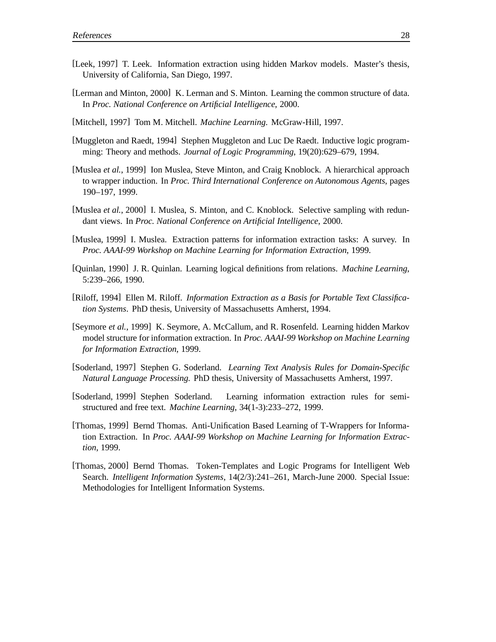- [Leek, 1997] T. Leek. Information extraction using hidden Markov models. Master's thesis, University of California, San Diego, 1997.
- [Lerman and Minton, 2000] K. Lerman and S. Minton. Learning the common structure of data. In *Proc. National Conference on Artificial Intelligence*, 2000.
- [Mitchell, 1997] Tom M. Mitchell. *Machine Learning*. McGraw-Hill, 1997.
- [Muggleton and Raedt, 1994] Stephen Muggleton and Luc De Raedt. Inductive logic programming: Theory and methods. *Journal of Logic Programming*, 19(20):629–679, 1994.
- [Muslea *et al.*, 1999] Ion Muslea, Steve Minton, and Craig Knoblock. A hierarchical approach to wrapper induction. In *Proc. Third International Conference on Autonomous Agents*, pages 190–197, 1999.
- [Muslea *et al.*, 2000] I. Muslea, S. Minton, and C. Knoblock. Selective sampling with redundant views. In *Proc. National Conference on Artificial Intelligence*, 2000.
- [Muslea, 1999] I. Muslea. Extraction patterns for information extraction tasks: A survey. In *Proc. AAAI-99 Workshop on Machine Learning for Information Extraction*, 1999.
- [Quinlan, 1990] J. R. Quinlan. Learning logical definitions from relations. *Machine Learning*, 5:239–266, 1990.
- [Riloff, 1994] Ellen M. Riloff. *Information Extraction as a Basis for Portable Text Classification Systems*. PhD thesis, University of Massachusetts Amherst, 1994.
- [Seymore *et al.*, 1999] K. Seymore, A. McCallum, and R. Rosenfeld. Learning hidden Markov model structure for information extraction. In *Proc. AAAI-99 Workshop on Machine Learning for Information Extraction*, 1999.
- [Soderland, 1997] Stephen G. Soderland. *Learning Text Analysis Rules for Domain-Specific Natural Language Processing*. PhD thesis, University of Massachusetts Amherst, 1997.
- [Soderland, 1999] Stephen Soderland. Learning information extraction rules for semistructured and free text. *Machine Learning*, 34(1-3):233–272, 1999.
- [Thomas, 1999] Bernd Thomas. Anti-Unification Based Learning of T-Wrappers for Information Extraction. In *Proc. AAAI-99 Workshop on Machine Learning for Information Extraction*, 1999.
- [Thomas, 2000] Bernd Thomas. Token-Templates and Logic Programs for Intelligent Web Search. *Intelligent Information Systems*, 14(2/3):241–261, March-June 2000. Special Issue: Methodologies for Intelligent Information Systems.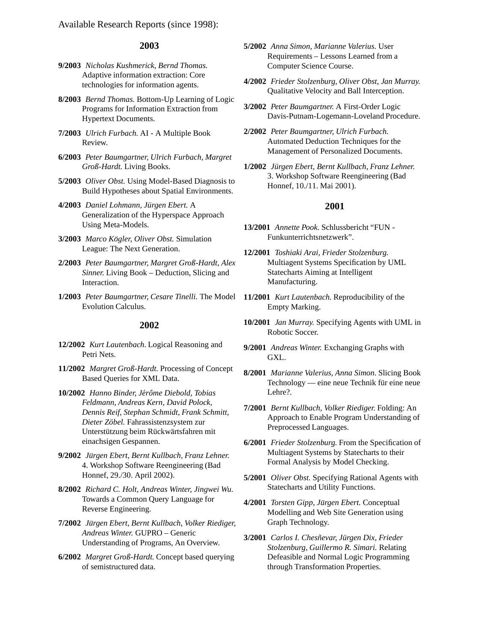#### **2003**

- **9/2003** *Nicholas Kushmerick, Bernd Thomas.* Adaptive information extraction: Core technologies for information agents.
- **8/2003** *Bernd Thomas.* Bottom-Up Learning of Logic Programs for Information Extraction from Hypertext Documents.
- **7/2003** *Ulrich Furbach.* AI A Multiple Book Review.
- **6/2003** *Peter Baumgartner, Ulrich Furbach, Margret Groß-Hardt.* Living Books.
- **5/2003** *Oliver Obst.* Using Model-Based Diagnosis to Build Hypotheses about Spatial Environments.
- **4/2003** *Daniel Lohmann, Jurgen Ebert. ¨* A Generalization of the Hyperspace Approach Using Meta-Models.
- **3/2003** *Marco Kögler, Oliver Obst.* Simulation League: The Next Generation.
- **2/2003** *Peter Baumgartner, Margret Groß-Hardt, Alex Sinner.* Living Book – Deduction, Slicing and Interaction.
- **1/2003** *Peter Baumgartner, Cesare Tinelli.* The Model Evolution Calculus.

## **2002**

- **12/2002** *Kurt Lautenbach.* Logical Reasoning and Petri Nets.
- **11/2002** *Margret Groß-Hardt.* Processing of Concept Based Queries for XML Data.
- **10/2002** *Hanno Binder, Jer´ ome Diebold, Tobias ˆ Feldmann, Andreas Kern, David Polock, Dennis Reif, Stephan Schmidt, Frank Schmitt, Dieter Zobel. ¨* Fahrassistenzsystem zur Unterstützung beim Rückwärtsfahren mit einachsigen Gespannen.
- **9/2002** *Jurgen Ebert, Bernt Kullbach, Franz Lehner. ¨* 4. Workshop Software Reengineering (Bad Honnef, 29./30. April 2002).
- **8/2002** *Richard C. Holt, Andreas Winter, Jingwei Wu.* Towards a Common Query Language for Reverse Engineering.
- **7/2002** *Jurgen Ebert, Bernt Kullbach, Volker Riediger, ¨ Andreas Winter.* GUPRO – Generic Understanding of Programs, An Overview.
- **6/2002** *Margret Groß-Hardt.* Concept based querying of semistructured data.
- **5/2002** *Anna Simon, Marianne Valerius.* User Requirements – Lessons Learned from a Computer Science Course.
- **4/2002** *Frieder Stolzenburg, Oliver Obst, Jan Murray.* Qualitative Velocity and Ball Interception.
- **3/2002** *Peter Baumgartner.* A First-Order Logic Davis-Putnam-Logemann-Loveland Procedure.
- **2/2002** *Peter Baumgartner, Ulrich Furbach.* Automated Deduction Techniques for the Management of Personalized Documents.
- **1/2002** *Jurgen Ebert, Bernt Kullbach, Franz Lehner. ¨* 3. Workshop Software Reengineering (Bad Honnef, 10./11. Mai 2001).

## **2001**

- **13/2001** *Annette Pook.* Schlussbericht "FUN Funkunterrichtsnetzwerk".
- **12/2001** *Toshiaki Arai, Frieder Stolzenburg.* Multiagent Systems Specification by UML Statecharts Aiming at Intelligent Manufacturing.
- **11/2001** *Kurt Lautenbach.* Reproducibility of the Empty Marking.
- **10/2001** *Jan Murray.* Specifying Agents with UML in Robotic Soccer.
- **9/2001** *Andreas Winter.* Exchanging Graphs with GXL.
- **8/2001** *Marianne Valerius, Anna Simon.* Slicing Book Technology — eine neue Technik für eine neue Lehre?.
- **7/2001** *Bernt Kullbach, Volker Riediger.* Folding: An Approach to Enable Program Understanding of Preprocessed Languages.
- **6/2001** *Frieder Stolzenburg.* From the Specification of Multiagent Systems by Statecharts to their Formal Analysis by Model Checking.
- **5/2001** *Oliver Obst.* Specifying Rational Agents with Statecharts and Utility Functions.
- **4/2001** *Torsten Gipp, Jurgen Ebert. ¨* Conceptual Modelling and Web Site Generation using Graph Technology.
- **3/2001** *Carlos I. Chesnevar, J ˜ urgen Dix, Frieder ¨ Stolzenburg, Guillermo R. Simari.* Relating Defeasible and Normal Logic Programming through Transformation Properties.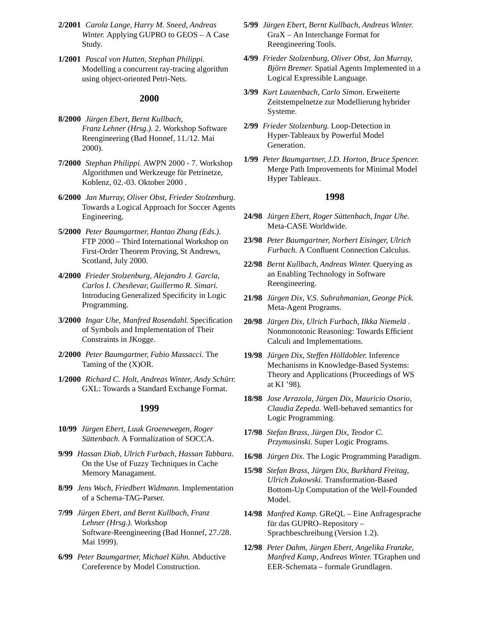- **2/2001** *Carola Lange, Harry M. Sneed, Andreas Winter.* Applying GUPRO to GEOS – A Case Study.
- **1/2001** *Pascal von Hutten, Stephan Philippi.* Modelling a concurrent ray-tracing algorithm using object-oriented Petri-Nets.

#### **2000**

- **8/2000** *Jurgen Ebert, Bernt Kullbach, ¨ Franz Lehner (Hrsg.).* 2. Workshop Software Reengineering (Bad Honnef, 11./12. Mai 2000).
- **7/2000** *Stephan Philippi.* AWPN 2000 7. Workshop Algorithmen und Werkzeuge für Petrinetze, Koblenz, 02.-03. Oktober 2000 .
- **6/2000** *Jan Murray, Oliver Obst, Frieder Stolzenburg.* Towards a Logical Approach for Soccer Agents Engineering.
- **5/2000** *Peter Baumgartner, Hantao Zhang (Eds.).* FTP 2000 – Third International Workshop on First-Order Theorem Proving, St Andrews, Scotland, July 2000.
- **4/2000** *Frieder Stolzenburg, Alejandro J. Garc´ıa, Carlos I. Chesnevar, Guillermo R. Simari. ˜* Introducing Generalized Specificity in Logic Programming.
- **3/2000** *Ingar Uhe, Manfred Rosendahl.* Specification of Symbols and Implementation of Their Constraints in JKogge.
- **2/2000** *Peter Baumgartner, Fabio Massacci.* The Taming of the (X)OR.
- **1/2000** *Richard C. Holt, Andreas Winter, Andy Schurr. ¨* GXL: Towards a Standard Exchange Format.

#### **1999**

- **10/99** *Jurgen Ebert, Luuk Groenewegen, Roger ¨ Süttenbach.* A Formalization of SOCCA.
- **9/99** *Hassan Diab, Ulrich Furbach, Hassan Tabbara.* On the Use of Fuzzy Techniques in Cache Memory Managament.
- **8/99** *Jens Woch, Friedbert Widmann.* Implementation of a Schema-TAG-Parser.
- **7/99** *Jurgen Ebert, and Bernt Kullbach, Franz ¨ Lehner (Hrsg.).* Workshop Software-Reengineering (Bad Honnef, 27./28. Mai 1999).
- **6/99** Peter Baumgartner, Michael Kühn. Abductive Coreference by Model Construction.
- **5/99** *Jurgen Ebert, Bernt Kullbach, Andreas Winter. ¨* GraX – An Interchange Format for Reengineering Tools.
- **4/99** *Frieder Stolzenburg, Oliver Obst, Jan Murray, Björn Bremer.* Spatial Agents Implemented in a Logical Expressible Language.
- **3/99** *Kurt Lautenbach, Carlo Simon.* Erweiterte Zeitstempelnetze zur Modellierung hybrider Systeme.
- **2/99** *Frieder Stolzenburg.* Loop-Detection in Hyper-Tableaux by Powerful Model Generation.
- **1/99** *Peter Baumgartner, J.D. Horton, Bruce Spencer.* Merge Path Improvements for Minimal Model Hyper Tableaux.

#### **1998**

- **24/98** *Jurgen Ebert, Roger S ¨ uttenbach, Ingar Uhe. ¨* Meta-CASE Worldwide.
- **23/98** *Peter Baumgartner, Norbert Eisinger, Ulrich Furbach.* A Confluent Connection Calculus.
- **22/98** *Bernt Kullbach, Andreas Winter.* Querying as an Enabling Technology in Software Reengineering.
- **21/98** *Jurgen Dix, V.S. Subrahmanian, George Pick. ¨* Meta-Agent Programs.
- **20/98** *Jurgen Dix, Ulrich Furbach, Ilkka Niemel ¨ a . ¨* Nonmonotonic Reasoning: Towards Efficient Calculi and Implementations.
- **19/98** *Jurgen Dix, Steffen H ¨ olldobler. ¨* Inference Mechanisms in Knowledge-Based Systems: Theory and Applications (Proceedings of WS at KI '98).
- **18/98** *Jose Arrazola, Jurgen Dix, Mauricio Osorio, ¨ Claudia Zepeda.* Well-behaved semantics for Logic Programming.
- **17/98** *Stefan Brass, Jurgen Dix, Teodor C. ¨ Przymusinski.* Super Logic Programs.
- **16/98** *Jurgen Dix. ¨* The Logic Programming Paradigm.
- **15/98** *Stefan Brass, Jurgen Dix, Burkhard Freitag, ¨ Ulrich Zukowski.* Transformation-Based Bottom-Up Computation of the Well-Founded Model.
- **14/98** *Manfred Kamp.* GReQL Eine Anfragesprache für das GUPRO–Repository – Sprachbeschreibung (Version 1.2).
- **12/98** *Peter Dahm, Jurgen Ebert, Angelika Franzke, ¨ Manfred Kamp, Andreas Winter.* TGraphen und EER-Schemata – formale Grundlagen.